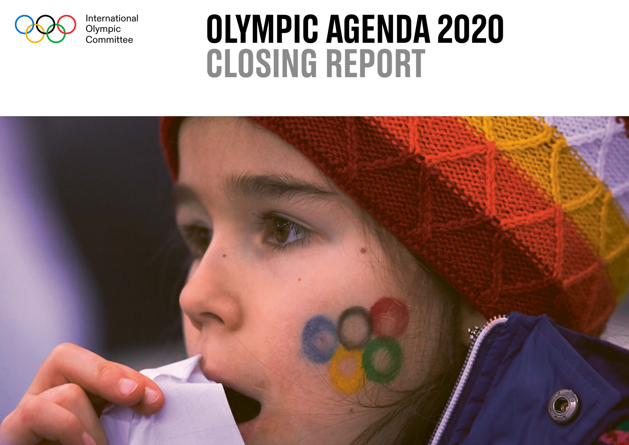

International Olympic<br>Committee

# OLYMPIC AGENDA 2020 closing report

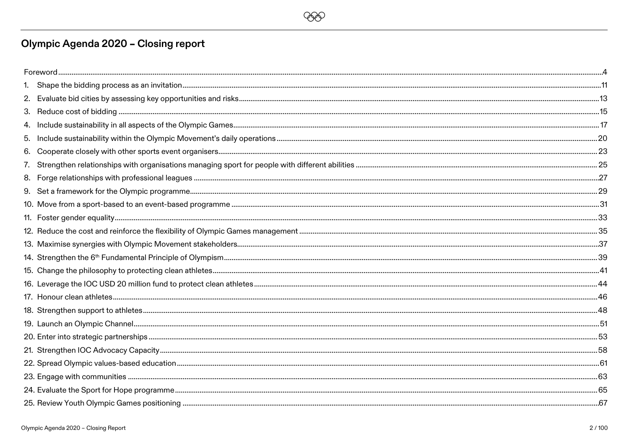

# Olympic Agenda 2020 - Closing report

| 5. |  |  |
|----|--|--|
|    |  |  |
|    |  |  |
|    |  |  |
|    |  |  |
|    |  |  |
|    |  |  |
|    |  |  |
|    |  |  |
|    |  |  |
|    |  |  |
|    |  |  |
|    |  |  |
|    |  |  |
|    |  |  |
|    |  |  |
|    |  |  |
|    |  |  |
|    |  |  |
|    |  |  |
|    |  |  |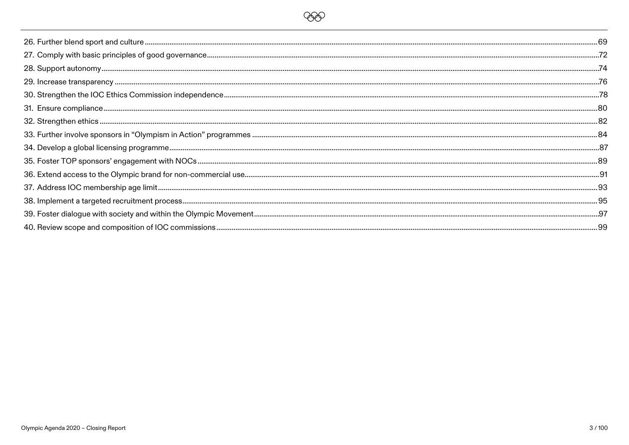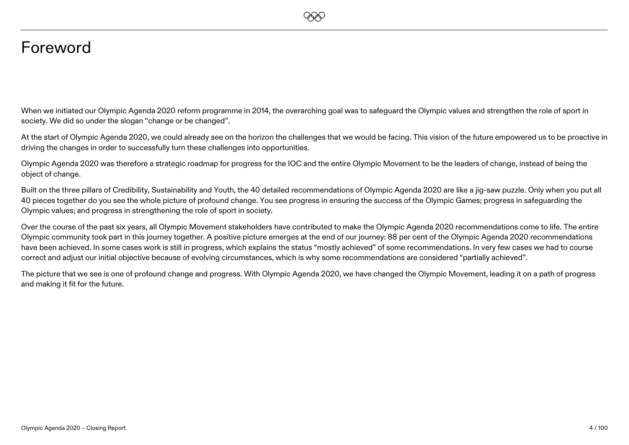

# <span id="page-3-0"></span>Foreword

When we initiated our Olympic Agenda 2020 reform programme in 2014, the overarching goal was to safeguard the Olympic values and strengthen the role of sport in society. We did so under the slogan "change or be changed".

At the start of Olympic Agenda 2020, we could already see on the horizon the challenges that we would be facing. This vision of the future empowered us to be proactive in driving the changes in order to successfully turn these challenges into opportunities.

Olympic Agenda 2020 was therefore a strategic roadmap for progress for the IOC and the entire Olympic Movement to be the leaders of change, instead of being the object of change.

Built on the three pillars of Credibility, Sustainability and Youth, the 40 detailed recommendations of Olympic Agenda 2020 are like a jig-saw puzzle. Only when you put all 40 pieces together do you see the whole picture of profound change. You see progress in ensuring the success of the Olympic Games; progress in safeguarding the Olympic values; and progress in strengthening the role of sport in society.

Over the course of the past six years, all Olympic Movement stakeholders have contributed to make the Olympic Agenda 2020 recommendations come to life. The entire Olympic community took part in this journey together. A positive picture emerges at the end of our journey: 88 per cent of the Olympic Agenda 2020 recommendations have been achieved. In some cases work is still in progress, which explains the status "mostly achieved" of some recommendations. In very few cases we had to course correct and adjust our initial objective because of evolving circumstances, which is why some recommendations are considered "partially achieved".

The picture that we see is one of profound change and progress. With Olympic Agenda 2020, we have changed the Olympic Movement, leading it on a path of progress and making it fit for the future.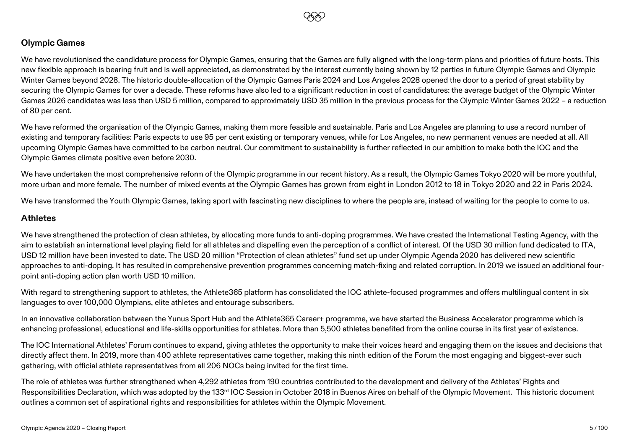

### **Olympic Games**

We have revolutionised the candidature process for Olympic Games, ensuring that the Games are fully aligned with the long-term plans and priorities of future hosts. This new flexible approach is bearing fruit and is well appreciated, as demonstrated by the interest currently being shown by 12 parties in future Olympic Games and Olympic Winter Games beyond 2028. The historic double-allocation of the Olympic Games Paris 2024 and Los Angeles 2028 opened the door to a period of great stability by securing the Olympic Games for over a decade. These reforms have also led to a significant reduction in cost of candidatures: the average budget of the Olympic Winter Games 2026 candidates was less than USD 5 million, compared to approximately USD 35 million in the previous process for the Olympic Winter Games 2022 – a reduction of 80 per cent.

We have reformed the organisation of the Olympic Games, making them more feasible and sustainable. Paris and Los Angeles are planning to use a record number of existing and temporary facilities: Paris expects to use 95 per cent existing or temporary venues, while for Los Angeles, no new permanent venues are needed at all. All upcoming Olympic Games have committed to be carbon neutral. Our commitment to sustainability is further reflected in our ambition to make both the IOC and the Olympic Games climate positive even before 2030.

We have undertaken the most comprehensive reform of the Olympic programme in our recent history. As a result, the Olympic Games Tokyo 2020 will be more youthful, more urban and more female. The number of mixed events at the Olympic Games has grown from eight in London 2012 to 18 in Tokyo 2020 and 22 in Paris 2024.

We have transformed the Youth Olympic Games, taking sport with fascinating new disciplines to where the people are, instead of waiting for the people to come to us.

#### **Athletes**

We have strengthened the protection of clean athletes, by allocating more funds to anti-doping programmes. We have created the International Testing Agency, with the aim to establish an international level playing field for all athletes and dispelling even the perception of a conflict of interest. Of the USD 30 million fund dedicated to ITA, USD 12 million have been invested to date. The USD 20 million "Protection of clean athletes" fund set up under Olympic Agenda 2020 has delivered new scientific approaches to anti-doping. It has resulted in comprehensive prevention programmes concerning match-fixing and related corruption. In 2019 we issued an additional fourpoint anti-doping action plan worth USD 10 million.

With regard to strengthening support to athletes, the Athlete365 platform has consolidated the IOC athlete-focused programmes and offers multilingual content in six languages to over 100,000 Olympians, elite athletes and entourage subscribers.

In an innovative collaboration between the Yunus Sport Hub and the Athlete365 Career+ programme, we have started the Business Accelerator programme which is enhancing professional, educational and life-skills opportunities for athletes. More than 5,500 athletes benefited from the online course in its first year of existence.

The IOC International Athletes' Forum continues to expand, giving athletes the opportunity to make their voices heard and engaging them on the issues and decisions that directly affect them. In 2019, more than 400 athlete representatives came together, making this ninth edition of the Forum the most engaging and biggest-ever such gathering, with official athlete representatives from all 206 NOCs being invited for the first time.

The role of athletes was further strengthened when 4,292 athletes from 190 countries contributed to the development and delivery of the Athletes' Rights and Responsibilities Declaration, which was adopted by the 133<sup>rd</sup> IOC Session in October 2018 in Buenos Aires on behalf of the Olympic Movement. This historic document outlines a common set of aspirational rights and responsibilities for athletes within the Olympic Movement.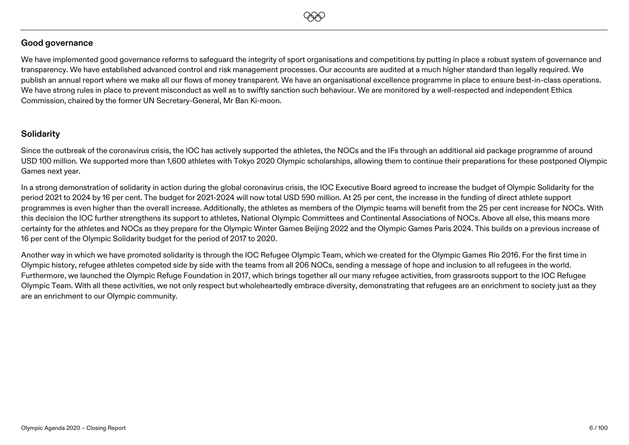

#### **Good governance**

We have implemented good governance reforms to safeguard the integrity of sport organisations and competitions by putting in place a robust system of governance and transparency. We have established advanced control and risk management processes. Our accounts are audited at a much higher standard than legally required. We publish an annual report where we make all our flows of money transparent. We have an organisational excellence programme in place to ensure best-in-class operations. We have strong rules in place to prevent misconduct as well as to swiftly sanction such behaviour. We are monitored by a well-respected and independent Ethics Commission, chaired by the former UN Secretary-General, Mr Ban Ki-moon.

### **Solidarity**

Since the outbreak of the coronavirus crisis, the IOC has actively supported the athletes, the NOCs and the IFs through an additional aid package programme of around USD 100 million. We supported more than 1,600 athletes with Tokyo 2020 Olympic scholarships, allowing them to continue their preparations for these postponed Olympic Games next year.

In a strong demonstration of solidarity in action during the global coronavirus crisis, the IOC Executive Board agreed to increase the budget of Olympic Solidarity for the period 2021 to 2024 by 16 per cent. The budget for 2021-2024 will now total USD 590 million. At 25 per cent, the increase in the funding of direct athlete support programmes is even higher than the overall increase. Additionally, the athletes as members of the Olympic teams will benefit from the 25 per cent increase for NOCs. With this decision the IOC further strengthens its support to athletes, National Olympic Committees and Continental Associations of NOCs. Above all else, this means more certainty for the athletes and NOCs as they prepare for the Olympic Winter Games Beijing 2022 and the Olympic Games Paris 2024. This builds on a previous increase of 16 per cent of the Olympic Solidarity budget for the period of 2017 to 2020.

Another way in which we have promoted solidarity is through the IOC Refugee Olympic Team, which we created for the Olympic Games Rio 2016. For the first time in Olympic history, refugee athletes competed side by side with the teams from all 206 NOCs, sending a message of hope and inclusion to all refugees in the world. Furthermore, we launched the Olympic Refuge Foundation in 2017, which brings together all our many refugee activities, from grassroots support to the IOC Refugee Olympic Team. With all these activities, we not only respect but wholeheartedly embrace diversity, demonstrating that refugees are an enrichment to society just as they are an enrichment to our Olympic community.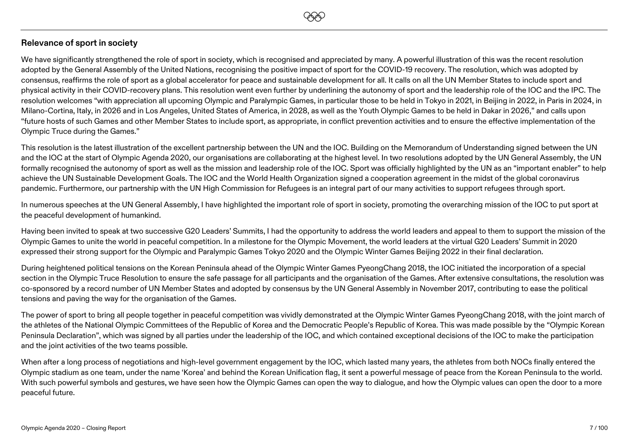

We have significantly strengthened the role of sport in society, which is recognised and appreciated by many. A powerful illustration of this was the recent resolution adopted by the General Assembly of the United Nations, recognising the positive impact of sport for the COVID-19 recovery. The resolution, which was adopted by consensus, reaffirms the role of sport as a global accelerator for peace and sustainable development for all. It calls on all the UN Member States to include sport and physical activity in their COVID-recovery plans. This resolution went even further by underlining the autonomy of sport and the leadership role of the IOC and the IPC. The resolution welcomes "with appreciation all upcoming Olympic and Paralympic Games, in particular those to be held in Tokyo in 2021, in Beijing in 2022, in Paris in 2024, in Milano-Cortina, Italy, in 2026 and in Los Angeles, United States of America, in 2028, as well as the Youth Olympic Games to be held in Dakar in 2026," and calls upon "future hosts of such Games and other Member States to include sport, as appropriate, in conflict prevention activities and to ensure the effective implementation of the Olympic Truce during the Games."

**EEO** 

This resolution is the latest illustration of the excellent partnership between the UN and the IOC. Building on the Memorandum of Understanding signed between the UN and the IOC at the start of Olympic Agenda 2020, our organisations are collaborating at the highest level. In two resolutions adopted by the UN General Assembly, the UN formally recognised the autonomy of sport as well as the mission and leadership role of the IOC. Sport was officially highlighted by the UN as an "important enabler" to help achieve the UN Sustainable Development Goals. The IOC and the World Health Organization signed a cooperation agreement in the midst of the global coronavirus pandemic. Furthermore, our partnership with the UN High Commission for Refugees is an integral part of our many activities to support refugees through sport.

In numerous speeches at the UN General Assembly, I have highlighted the important role of sport in society, promoting the overarching mission of the IOC to put sport at the peaceful development of humankind.

Having been invited to speak at two successive G20 Leaders' Summits, I had the opportunity to address the world leaders and appeal to them to support the mission of the Olympic Games to unite the world in peaceful competition. In a milestone for the Olympic Movement, the world leaders at the virtual G20 Leaders' Summit in 2020 expressed their strong support for the Olympic and Paralympic Games Tokyo 2020 and the Olympic Winter Games Beijing 2022 in their final declaration.

During heightened political tensions on the Korean Peninsula ahead of the Olympic Winter Games PyeongChang 2018, the IOC initiated the incorporation of a special section in the Olympic Truce Resolution to ensure the safe passage for all participants and the organisation of the Games. After extensive consultations, the resolution was co-sponsored by a record number of UN Member States and adopted by consensus by the UN General Assembly in November 2017, contributing to ease the political tensions and paving the way for the organisation of the Games.

The power of sport to bring all people together in peaceful competition was vividly demonstrated at the Olympic Winter Games PyeongChang 2018, with the joint march of the athletes of the National Olympic Committees of the Republic of Korea and the Democratic People's Republic of Korea. This was made possible by the "Olympic Korean Peninsula Declaration", which was signed by all parties under the leadership of the IOC, and which contained exceptional decisions of the IOC to make the participation and the joint activities of the two teams possible.

When after a long process of negotiations and high-level government engagement by the IOC, which lasted many years, the athletes from both NOCs finally entered the Olympic stadium as one team, under the name 'Korea' and behind the Korean Unification flag, it sent a powerful message of peace from the Korean Peninsula to the world. With such powerful symbols and gestures, we have seen how the Olympic Games can open the way to dialogue, and how the Olympic values can open the door to a more peaceful future.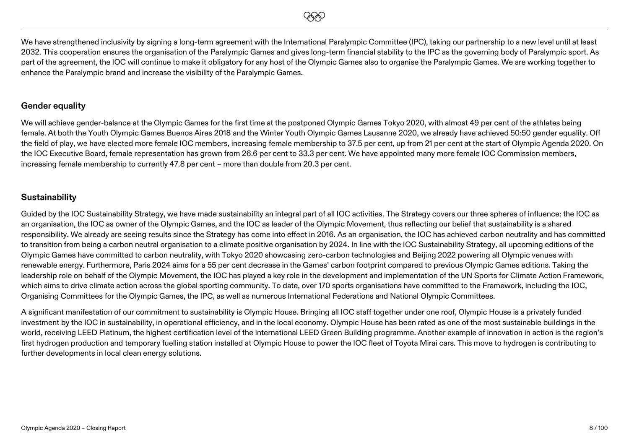

We have strengthened inclusivity by signing a long-term agreement with the International Paralympic Committee (IPC), taking our partnership to a new level until at least 2032. This cooperation ensures the organisation of the Paralympic Games and gives long-term financial stability to the IPC as the governing body of Paralympic sport. As part of the agreement, the IOC will continue to make it obligatory for any host of the Olympic Games also to organise the Paralympic Games. We are working together to enhance the Paralympic brand and increase the visibility of the Paralympic Games.

#### **Gender equality**

We will achieve gender-balance at the Olympic Games for the first time at the postponed Olympic Games Tokyo 2020, with almost 49 per cent of the athletes being female. At both the Youth Olympic Games Buenos Aires 2018 and the Winter Youth Olympic Games Lausanne 2020, we already have achieved 50:50 gender equality. Off the field of play, we have elected more female IOC members, increasing female membership to 37.5 per cent, up from 21 per cent at the start of Olympic Agenda 2020. On the IOC Executive Board, female representation has grown from 26.6 per cent to 33.3 per cent. We have appointed many more female IOC Commission members, increasing female membership to currently 47.8 per cent – more than double from 20.3 per cent.

#### **Sustainability**

Guided by the IOC Sustainability Strategy, we have made sustainability an integral part of all IOC activities. The Strategy covers our three spheres of influence: the IOC as an organisation, the IOC as owner of the Olympic Games, and the IOC as leader of the Olympic Movement, thus reflecting our belief that sustainability is a shared responsibility. We already are seeing results since the Strategy has come into effect in 2016. As an organisation, the IOC has achieved carbon neutrality and has committed to transition from being a carbon neutral organisation to a climate positive organisation by 2024. In line with the IOC Sustainability Strategy, all upcoming editions of the Olympic Games have committed to carbon neutrality, with Tokyo 2020 showcasing zero-carbon technologies and Beijing 2022 powering all Olympic venues with renewable energy. Furthermore, Paris 2024 aims for a 55 per cent decrease in the Games' carbon footprint compared to previous Olympic Games editions. Taking the leadership role on behalf of the Olympic Movement, the IOC has played a key role in the development and implementation of the UN Sports for Climate Action Framework, which aims to drive climate action across the global sporting community. To date, over 170 sports organisations have committed to the Framework, including the IOC, Organising Committees for the Olympic Games, the IPC, as well as numerous International Federations and National Olympic Committees.

A significant manifestation of our commitment to sustainability is Olympic House. Bringing all IOC staff together under one roof, Olympic House is a privately funded investment by the IOC in sustainability, in operational efficiency, and in the local economy. Olympic House has been rated as one of the most sustainable buildings in the world, receiving LEED Platinum, the highest certification level of the international LEED Green Building programme. Another example of innovation in action is the region's first hydrogen production and temporary fuelling station installed at Olympic House to power the IOC fleet of Toyota Mirai cars. This move to hydrogen is contributing to further developments in local clean energy solutions.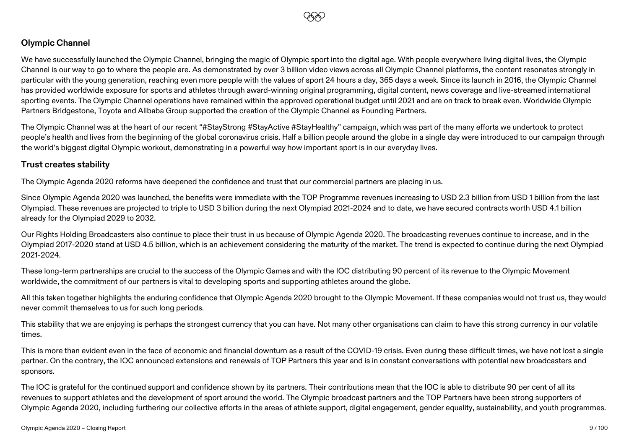

### **Olympic Channel**

We have successfully launched the Olympic Channel, bringing the magic of Olympic sport into the digital age. With people everywhere living digital lives, the Olympic Channel is our way to go to where the people are. As demonstrated by over 3 billion video views across all Olympic Channel platforms, the content resonates strongly in particular with the young generation, reaching even more people with the values of sport 24 hours a day, 365 days a week. Since its launch in 2016, the Olympic Channel has provided worldwide exposure for sports and athletes through award-winning original programming, digital content, news coverage and live-streamed international sporting events. The Olympic Channel operations have remained within the approved operational budget until 2021 and are on track to break even. Worldwide Olympic Partners Bridgestone, Toyota and Alibaba Group supported the creation of the Olympic Channel as Founding Partners.

The Olympic Channel was at the heart of our recent "#StayStrong #StayActive #StayHealthy" campaign, which was part of the many efforts we undertook to protect people's health and lives from the beginning of the global coronavirus crisis. Half a billion people around the globe in a single day were introduced to our campaign through the world's biggest digital Olympic workout, demonstrating in a powerful way how important sport is in our everyday lives.

#### **Trust creates stability**

The Olympic Agenda 2020 reforms have deepened the confidence and trust that our commercial partners are placing in us.

Since Olympic Agenda 2020 was launched, the benefits were immediate with the TOP Programme revenues increasing to USD 2.3 billion from USD 1 billion from the last Olympiad. These revenues are projected to triple to USD 3 billion during the next Olympiad 2021-2024 and to date, we have secured contracts worth USD 4.1 billion already for the Olympiad 2029 to 2032.

Our Rights Holding Broadcasters also continue to place their trust in us because of Olympic Agenda 2020. The broadcasting revenues continue to increase, and in the Olympiad 2017-2020 stand at USD 4.5 billion, which is an achievement considering the maturity of the market. The trend is expected to continue during the next Olympiad 2021-2024.

These long-term partnerships are crucial to the success of the Olympic Games and with the IOC distributing 90 percent of its revenue to the Olympic Movement worldwide, the commitment of our partners is vital to developing sports and supporting athletes around the globe.

All this taken together highlights the enduring confidence that Olympic Agenda 2020 brought to the Olympic Movement. If these companies would not trust us, they would never commit themselves to us for such long periods.

This stability that we are enjoying is perhaps the strongest currency that you can have. Not many other organisations can claim to have this strong currency in our volatile times.

This is more than evident even in the face of economic and financial downturn as a result of the COVID-19 crisis. Even during these difficult times, we have not lost a single partner. On the contrary, the IOC announced extensions and renewals of TOP Partners this year and is in constant conversations with potential new broadcasters and sponsors.

The IOC is grateful for the continued support and confidence shown by its partners. Their contributions mean that the IOC is able to distribute 90 per cent of all its revenues to support athletes and the development of sport around the world. The Olympic broadcast partners and the TOP Partners have been strong supporters of Olympic Agenda 2020, including furthering our collective efforts in the areas of athlete support, digital engagement, gender equality, sustainability, and youth programmes.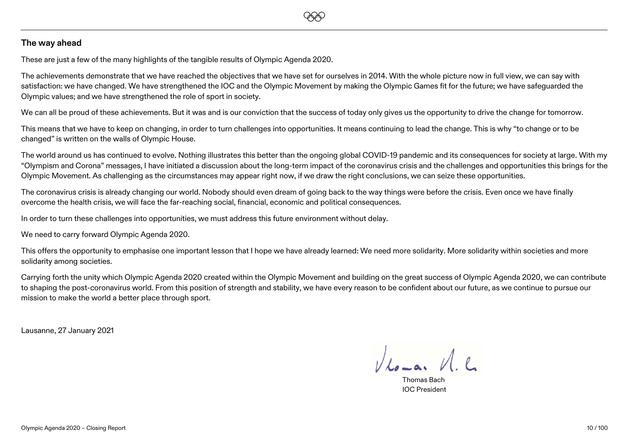

#### **The way ahead**

These are just a few of the many highlights of the tangible results of Olympic Agenda 2020.

The achievements demonstrate that we have reached the objectives that we have set for ourselves in 2014. With the whole picture now in full view, we can say with satisfaction: we have changed. We have strengthened the IOC and the Olympic Movement by making the Olympic Games fit for the future; we have safeguarded the Olympic values; and we have strengthened the role of sport in society.

We can all be proud of these achievements. But it was and is our conviction that the success of today only gives us the opportunity to drive the change for tomorrow.

This means that we have to keep on changing, in order to turn challenges into opportunities. It means continuing to lead the change. This is why "to change or to be changed" is written on the walls of Olympic House.

The world around us has continued to evolve. Nothing illustrates this better than the ongoing global COVID-19 pandemic and its consequences for society at large. With my "Olympism and Corona" messages, I have initiated a discussion about the long-term impact of the coronavirus crisis and the challenges and opportunities this brings for the Olympic Movement. As challenging as the circumstances may appear right now, if we draw the right conclusions, we can seize these opportunities.

The coronavirus crisis is already changing our world. Nobody should even dream of going back to the way things were before the crisis. Even once we have finally overcome the health crisis, we will face the far-reaching social, financial, economic and political consequences.

In order to turn these challenges into opportunities, we must address this future environment without delay.

We need to carry forward Olympic Agenda 2020.

This offers the opportunity to emphasise one important lesson that I hope we have already learned: We need more solidarity. More solidarity within societies and more solidarity among societies.

Carrying forth the unity which Olympic Agenda 2020 created within the Olympic Movement and building on the great success of Olympic Agenda 2020, we can contribute to shaping the post-coronavirus world. From this position of strength and stability, we have every reason to be confident about our future, as we continue to pursue our mission to make the world a better place through sport.

Lausanne, 27 January 2021

 $V_{\text{Ao}-\text{a}}$ ,  $V_{\text{A}}$ 

Thomas Bach IOC President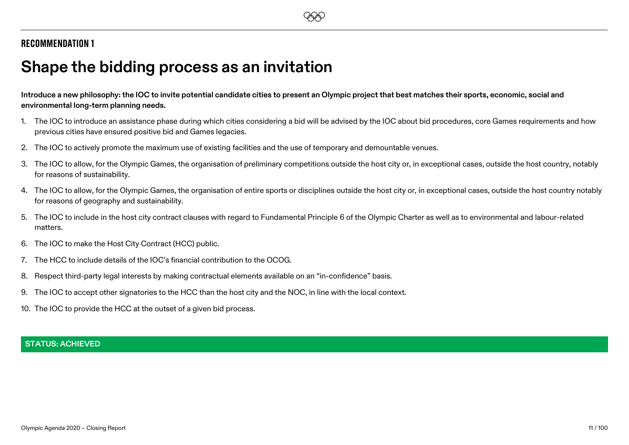# <span id="page-10-0"></span>**Shape the bidding process as an invitation**

**Introduce a new philosophy: the IOC to invite potential candidate cities to present an Olympic project that best matches their sports, economic, social and environmental long-term planning needs.**

- 1. The IOC to introduce an assistance phase during which cities considering a bid will be advised by the IOC about bid procedures, core Games requirements and how previous cities have ensured positive bid and Games legacies.
- 2. The IOC to actively promote the maximum use of existing facilities and the use of temporary and demountable venues.
- 3. The IOC to allow, for the Olympic Games, the organisation of preliminary competitions outside the host city or, in exceptional cases, outside the host country, notably for reasons of sustainability.
- 4. The IOC to allow, for the Olympic Games, the organisation of entire sports or disciplines outside the host city or, in exceptional cases, outside the host country notably for reasons of geography and sustainability.
- 5. The IOC to include in the host city contract clauses with regard to Fundamental Principle 6 of the Olympic Charter as well as to environmental and labour-related matters.
- 6. The IOC to make the Host City Contract (HCC) public.
- 7. The HCC to include details of the IOC's financial contribution to the OCOG.
- 8. Respect third-party legal interests by making contractual elements available on an "in-confidence" basis.
- 9. The IOC to accept other signatories to the HCC than the host city and the NOC, in line with the local context.
- 10. The IOC to provide the HCC at the outset of a given bid process.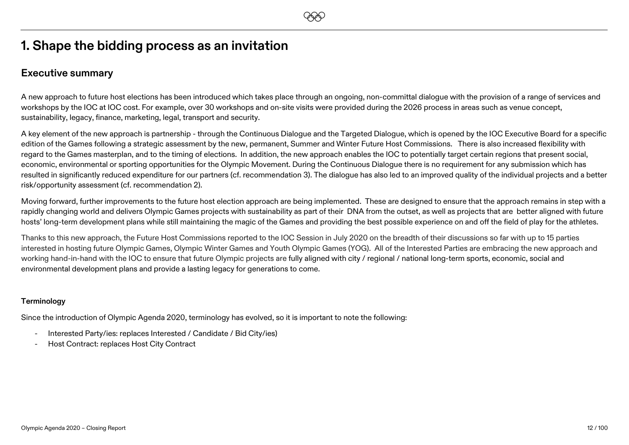# **1. Shape the bidding process as an invitation**

### **Executive summary**

A new approach to future host elections has been introduced which takes place through an ongoing, non-committal dialogue with the provision of a range of services and workshops by the IOC at IOC cost. For example, over 30 workshops and on-site visits were provided during the 2026 process in areas such as venue concept, sustainability, legacy, finance, marketing, legal, transport and security.

A key element of the new approach is partnership - through the Continuous Dialogue and the Targeted Dialogue, which is opened by the IOC Executive Board for a specific edition of the Games following a strategic assessment by the new, permanent, Summer and Winter Future Host Commissions. There is also increased flexibility with regard to the Games masterplan, and to the timing of elections. In addition, the new approach enables the IOC to potentially target certain regions that present social, economic, environmental or sporting opportunities for the Olympic Movement. During the Continuous Dialogue there is no requirement for any submission which has resulted in significantly reduced expenditure for our partners (cf. recommendation 3). The dialogue has also led to an improved quality of the individual projects and a better risk/opportunity assessment (cf. recommendation 2).

Moving forward, further improvements to the future host election approach are being implemented. These are designed to ensure that the approach remains in step with a rapidly changing world and delivers Olympic Games projects with sustainability as part of their DNA from the outset, as well as projects that are better aligned with future hosts' long-term development plans while still maintaining the magic of the Games and providing the best possible experience on and off the field of play for the athletes.

Thanks to this new approach, the Future Host Commissions reported to the IOC Session in July 2020 on the breadth of their discussions so far with up to 15 parties interested in hosting future Olympic Games, Olympic Winter Games and Youth Olympic Games (YOG). All of the Interested Parties are embracing the new approach and working hand-in-hand with the IOC to ensure that future Olympic projects are fully aligned with city / regional / national long-term sports, economic, social and environmental development plans and provide a lasting legacy for generations to come.

#### **Terminology**

Since the introduction of Olympic Agenda 2020, terminology has evolved, so it is important to note the following:

- Interested Party/ies: replaces Interested / Candidate / Bid City/ies)
- Host Contract: replaces Host City Contract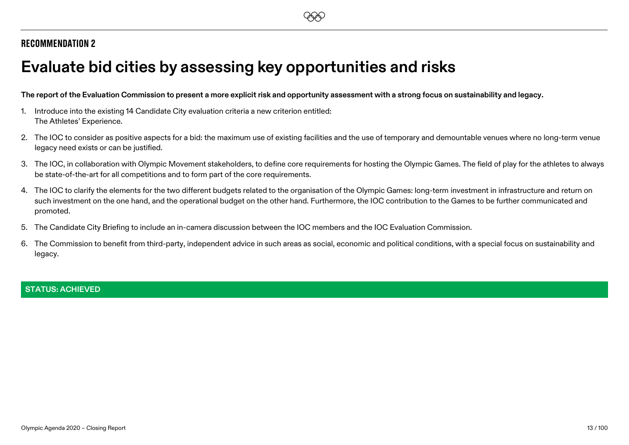# <span id="page-12-0"></span>**Evaluate bid cities by assessing key opportunities and risks**

**The report of the Evaluation Commission to present a more explicit risk and opportunity assessment with a strong focus on sustainability and legacy.**

- 1. Introduce into the existing 14 Candidate City evaluation criteria a new criterion entitled: The Athletes' Experience.
- 2. The IOC to consider as positive aspects for a bid: the maximum use of existing facilities and the use of temporary and demountable venues where no long-term venue legacy need exists or can be justified.
- 3. The IOC, in collaboration with Olympic Movement stakeholders, to define core requirements for hosting the Olympic Games. The field of play for the athletes to always be state-of-the-art for all competitions and to form part of the core requirements.
- 4. The IOC to clarify the elements for the two different budgets related to the organisation of the Olympic Games: long-term investment in infrastructure and return on such investment on the one hand, and the operational budget on the other hand. Furthermore, the IOC contribution to the Games to be further communicated and promoted.
- 5. The Candidate City Briefing to include an in-camera discussion between the IOC members and the IOC Evaluation Commission.
- 6. The Commission to benefit from third-party, independent advice in such areas as social, economic and political conditions, with a special focus on sustainability and legacy.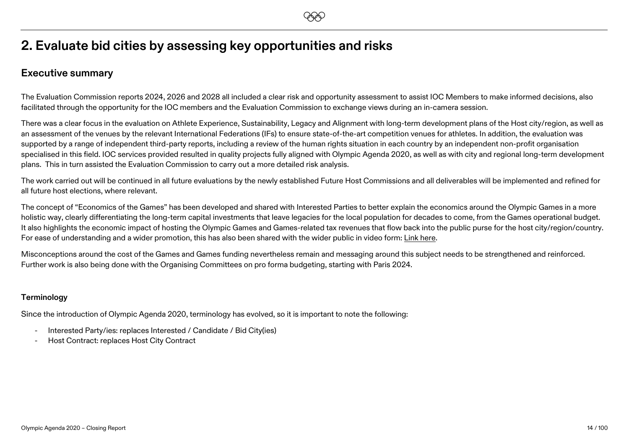# **2. Evaluate bid cities by assessing key opportunities and risks**

### **Executive summary**

The Evaluation Commission reports 2024, 2026 and 2028 all included a clear risk and opportunity assessment to assist IOC Members to make informed decisions, also facilitated through the opportunity for the IOC members and the Evaluation Commission to exchange views during an in-camera session.

There was a clear focus in the evaluation on Athlete Experience, Sustainability, Legacy and Alignment with long-term development plans of the Host city/region, as well as an assessment of the venues by the relevant International Federations (IFs) to ensure state-of-the-art competition venues for athletes. In addition, the evaluation was supported by a range of independent third-party reports, including a review of the human rights situation in each country by an independent non-profit organisation specialised in this field. IOC services provided resulted in quality projects fully aligned with Olympic Agenda 2020, as well as with city and regional long-term development plans. This in turn assisted the Evaluation Commission to carry out a more detailed risk analysis.

The work carried out will be continued in all future evaluations by the newly established Future Host Commissions and all deliverables will be implemented and refined for all future host elections, where relevant.

The concept of "Economics of the Games" has been developed and shared with Interested Parties to better explain the economics around the Olympic Games in a more holistic way, clearly differentiating the long-term capital investments that leave legacies for the local population for decades to come, from the Games operational budget. It also highlights the economic impact of hosting the Olympic Games and Games-related tax revenues that flow back into the public purse for the host city/region/country. For ease of understanding and a wider promotion, this has also been shared with the wider public in video form[: Link here.](https://www.youtube.com/watch?v=uteWfFK7tVM&t=10s)

Misconceptions around the cost of the Games and Games funding nevertheless remain and messaging around this subject needs to be strengthened and reinforced. Further work is also being done with the Organising Committees on pro forma budgeting, starting with Paris 2024.

#### **Terminology**

Since the introduction of Olympic Agenda 2020, terminology has evolved, so it is important to note the following:

- Interested Party/ies: replaces Interested / Candidate / Bid City(ies)
- Host Contract: replaces Host City Contract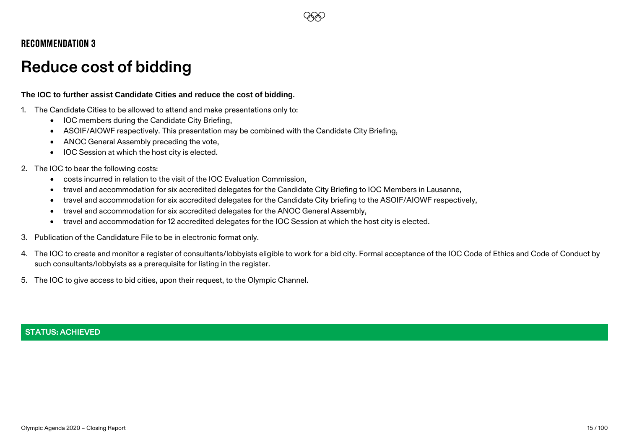# **EEO**

### Recommendation 3

# <span id="page-14-0"></span>**Reduce cost of bidding**

#### **The IOC to further assist Candidate Cities and reduce the cost of bidding.**

- 1. The Candidate Cities to be allowed to attend and make presentations only to:
	- IOC members during the Candidate City Briefing,
	- ASOIF/AIOWF respectively. This presentation may be combined with the Candidate City Briefing,
	- ANOC General Assembly preceding the vote,
	- IOC Session at which the host city is elected.

#### 2. The IOC to bear the following costs:

- costs incurred in relation to the visit of the IOC Evaluation Commission,
- travel and accommodation for six accredited delegates for the Candidate City Briefing to IOC Members in Lausanne,
- travel and accommodation for six accredited delegates for the Candidate City briefing to the ASOIF/AIOWF respectively,
- travel and accommodation for six accredited delegates for the ANOC General Assembly,
- travel and accommodation for 12 accredited delegates for the IOC Session at which the host city is elected.
- 3. Publication of the Candidature File to be in electronic format only.
- 4. The IOC to create and monitor a register of consultants/lobbyists eligible to work for a bid city. Formal acceptance of the IOC Code of Ethics and Code of Conduct by such consultants/lobbyists as a prerequisite for listing in the register.
- 5. The IOC to give access to bid cities, upon their request, to the Olympic Channel.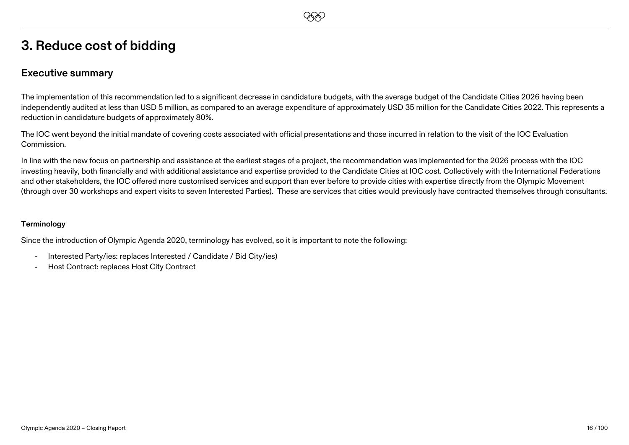# **3. Reduce cost of bidding**

### **Executive summary**

The implementation of this recommendation led to a significant decrease in candidature budgets, with the average budget of the Candidate Cities 2026 having been independently audited at less than USD 5 million, as compared to an average expenditure of approximately USD 35 million for the Candidate Cities 2022. This represents a reduction in candidature budgets of approximately 80%.

**EEO** 

The IOC went beyond the initial mandate of covering costs associated with official presentations and those incurred in relation to the visit of the IOC Evaluation Commission.

In line with the new focus on partnership and assistance at the earliest stages of a project, the recommendation was implemented for the 2026 process with the IOC investing heavily, both financially and with additional assistance and expertise provided to the Candidate Cities at IOC cost. Collectively with the International Federations and other stakeholders, the IOC offered more customised services and support than ever before to provide cities with expertise directly from the Olympic Movement (through over 30 workshops and expert visits to seven Interested Parties). These are services that cities would previously have contracted themselves through consultants.

#### **Terminology**

Since the introduction of Olympic Agenda 2020, terminology has evolved, so it is important to note the following:

- Interested Party/ies: replaces Interested / Candidate / Bid City/ies)
- Host Contract: replaces Host City Contract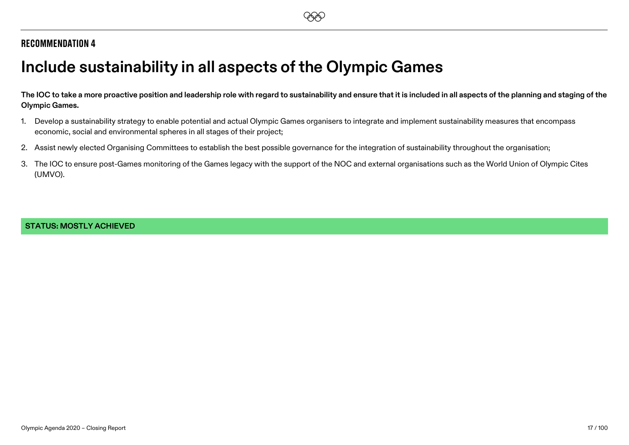# <span id="page-16-0"></span>**Include sustainability in all aspects of the Olympic Games**

**The IOC to take a more proactive position and leadership role with regard to sustainability and ensure that it is included in all aspects of the planning and staging of the Olympic Games.**

- 1. Develop a sustainability strategy to enable potential and actual Olympic Games organisers to integrate and implement sustainability measures that encompass economic, social and environmental spheres in all stages of their project;
- 2. Assist newly elected Organising Committees to establish the best possible governance for the integration of sustainability throughout the organisation;
- 3. The IOC to ensure post-Games monitoring of the Games legacy with the support of the NOC and external organisations such as the World Union of Olympic Cites (UMVO).

#### **STATUS: MOSTLY ACHIEVED**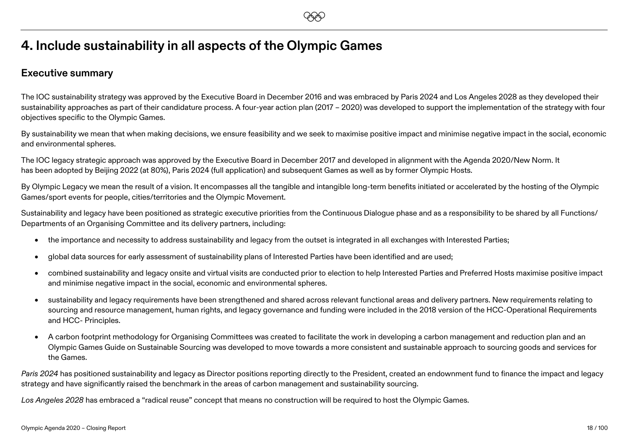# **4. Include sustainability in all aspects of the Olympic Games**

### **Executive summary**

The IOC sustainability strategy was approved by the Executive Board in December 2016 and was embraced by Paris 2024 and Los Angeles 2028 as they developed their sustainability approaches as part of their candidature process. A four-year action plan (2017 – 2020) was developed to support the implementation of the strategy with four objectives specific to the Olympic Games.

By sustainability we mean that when making decisions, we ensure feasibility and we seek to maximise positive impact and minimise negative impact in the social, economic and environmental spheres.

The IOC legacy strategic approach was approved by the Executive Board in December 2017 and developed in alignment with the Agenda 2020/New Norm. It has been adopted by Beijing 2022 (at 80%), Paris 2024 (full application) and subsequent Games as well as by former Olympic Hosts.

By Olympic Legacy we mean the result of a vision. It encompasses all the tangible and intangible long-term benefits initiated or accelerated by the hosting of the Olympic Games/sport events for people, cities/territories and the Olympic Movement.

Sustainability and legacy have been positioned as strategic executive priorities from the Continuous Dialogue phase and as a responsibility to be shared by all Functions/ Departments of an Organising Committee and its delivery partners, including:

- the importance and necessity to address sustainability and legacy from the outset is integrated in all exchanges with Interested Parties;
- global data sources for early assessment of sustainability plans of Interested Parties have been identified and are used;
- combined sustainability and legacy onsite and virtual visits are conducted prior to election to help Interested Parties and Preferred Hosts maximise positive impact and minimise negative impact in the social, economic and environmental spheres.
- sustainability and legacy requirements have been strengthened and shared across relevant functional areas and delivery partners. New requirements relating to sourcing and resource management, human rights, and legacy governance and funding were included in the 2018 version of the HCC-Operational Requirements and HCC- Principles.
- A carbon footprint methodology for Organising Committees was created to facilitate the work in developing a carbon management and reduction plan and an Olympic Games Guide on Sustainable Sourcing was developed to move towards a more consistent and sustainable approach to sourcing goods and services for the Games.

Paris 2024 has positioned sustainability and legacy as Director positions reporting directly to the President, created an endownment fund to finance the impact and legacy strategy and have significantly raised the benchmark in the areas of carbon management and sustainability sourcing.

*Los Angeles 2028* has embraced a "radical reuse" concept that means no construction will be required to host the Olympic Games.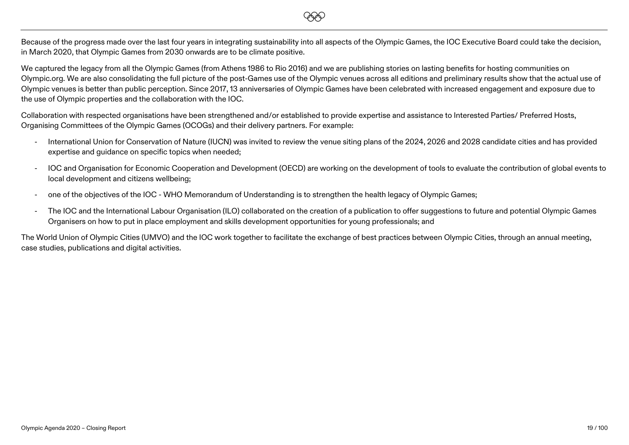Because of the progress made over the last four years in integrating sustainability into all aspects of the Olympic Games, the IOC Executive Board could take the decision, in March 2020, that Olympic Games from 2030 onwards are to be climate positive.

**EEO** 

We captured the legacy from all the Olympic Games (from Athens 1986 to Rio 2016) and we are publishing stories on lasting benefits for hosting communities on Olympic.org. We are also consolidating the full picture of the post-Games use of the Olympic venues across all editions and preliminary results show that the actual use of Olympic venues is better than public perception. Since 2017, 13 anniversaries of Olympic Games have been celebrated with increased engagement and exposure due to the use of Olympic properties and the collaboration with the IOC.

Collaboration with respected organisations have been strengthened and/or established to provide expertise and assistance to Interested Parties/ Preferred Hosts, Organising Committees of the Olympic Games (OCOGs) and their delivery partners. For example:

- International Union for Conservation of Nature (IUCN) was invited to review the venue siting plans of the 2024, 2026 and 2028 candidate cities and has provided expertise and guidance on specific topics when needed;
- IOC and Organisation for Economic Cooperation and Development (OECD) are working on the development of tools to evaluate the contribution of global events to local development and citizens wellbeing;
- one of the objectives of the IOC WHO Memorandum of Understanding is to strengthen the health legacy of Olympic Games;
- The IOC and the International Labour Organisation (ILO) collaborated on the creation of a publication to offer suggestions to future and potential Olympic Games Organisers on how to put in place employment and skills development opportunities for young professionals; and

The World Union of Olympic Cities (UMVO) and the IOC work together to facilitate the exchange of best practices between Olympic Cities, through an annual meeting, case studies, publications and digital activities.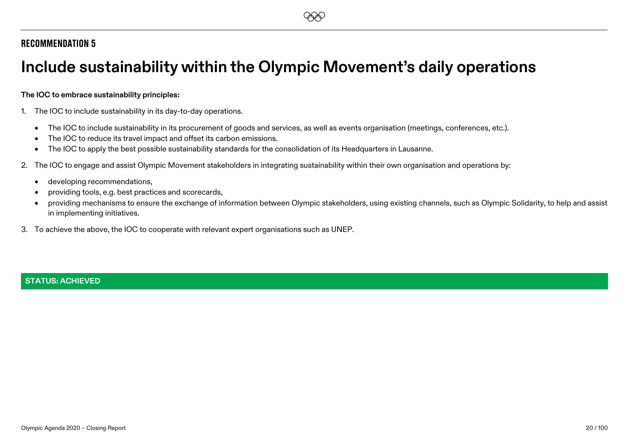# <span id="page-19-0"></span>**Include sustainability within the Olympic Movement's daily operations**

#### **The IOC to embrace sustainability principles:**

- 1. The IOC to include sustainability in its day-to-day operations.
	- The IOC to include sustainability in its procurement of goods and services, as well as events organisation (meetings, conferences, etc.).
	- The IOC to reduce its travel impact and offset its carbon emissions.
	- The IOC to apply the best possible sustainability standards for the consolidation of its Headquarters in Lausanne.
- 2. The IOC to engage and assist Olympic Movement stakeholders in integrating sustainability within their own organisation and operations by:
	- developing recommendations,
	- providing tools, e.g. best practices and scorecards,
	- providing mechanisms to ensure the exchange of information between Olympic stakeholders, using existing channels, such as Olympic Solidarity, to help and assist in implementing initiatives.
- 3. To achieve the above, the IOC to cooperate with relevant expert organisations such as UNEP.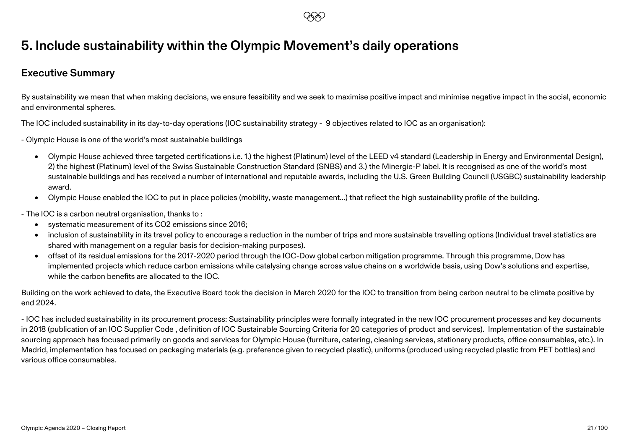# **EEO**

# **5. Include sustainability within the Olympic Movement's daily operations**

### **Executive Summary**

By sustainability we mean that when making decisions, we ensure feasibility and we seek to maximise positive impact and minimise negative impact in the social, economic and environmental spheres.

The IOC included sustainability in its day-to-day operations (IOC sustainability strategy - 9 objectives related to IOC as an organisation):

- Olympic House is one of the world's most sustainable buildings
	- Olympic House achieved three targeted certifications i.e. 1.) the highest (Platinum) level of the LEED v4 standard (Leadership in Energy and Environmental Design), 2) the highest (Platinum) level of the Swiss Sustainable Construction Standard (SNBS) and 3.) the Minergie-P label. It is recognised as one of the world's most sustainable buildings and has received a number of international and reputable awards, including the U.S. Green Building Council (USGBC) sustainability leadership award.
	- Olympic House enabled the IOC to put in place policies (mobility, waste management…) that reflect the high sustainability profile of the building.
- The IOC is a carbon neutral organisation, thanks to :
	- systematic measurement of its CO2 emissions since 2016;
	- inclusion of sustainability in its travel policy to encourage a reduction in the number of trips and more sustainable travelling options (Individual travel statistics are shared with management on a regular basis for decision-making purposes).
	- offset of its residual emissions for the 2017-2020 period through the IOC-Dow global carbon mitigation programme. Through this programme, Dow has implemented projects which reduce carbon emissions while catalysing change across value chains on a worldwide basis, using Dow's solutions and expertise, while the carbon benefits are allocated to the IOC.

Building on the work achieved to date, the Executive Board took the decision in March 2020 for the IOC to transition from being carbon neutral to be climate positive by end 2024.

- IOC has included sustainability in its procurement process: Sustainability principles were formally integrated in the new IOC procurement processes and key documents in 2018 (publication of an IOC Supplier Code , definition of IOC Sustainable Sourcing Criteria for 20 categories of product and services). Implementation of the sustainable sourcing approach has focused primarily on goods and services for Olympic House (furniture, catering, cleaning services, stationery products, office consumables, etc.). In Madrid, implementation has focused on packaging materials (e.g. preference given to recycled plastic), uniforms (produced using recycled plastic from PET bottles) and various office consumables.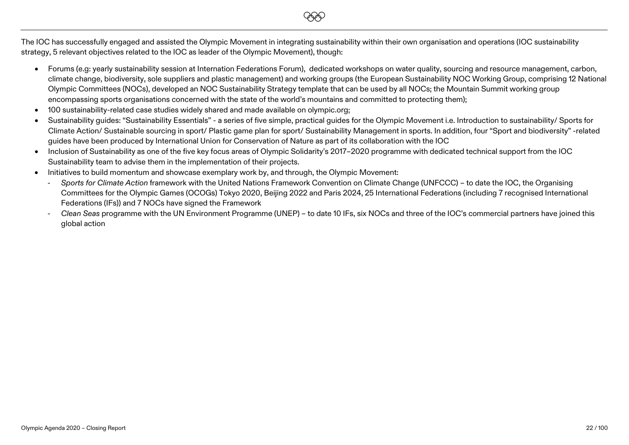The IOC has successfully engaged and assisted the Olympic Movement in integrating sustainability within their own organisation and operations (IOC sustainability strategy, 5 relevant objectives related to the IOC as leader of the Olympic Movement), though:

**EEO** 

- Forums (e.g: yearly sustainability session at Internation Federations Forum), dedicated workshops on water quality, sourcing and resource management, carbon, climate change, biodiversity, sole suppliers and plastic management) and working groups (the European Sustainability NOC Working Group, comprising 12 National Olympic Committees (NOCs), developed an NOC Sustainability Strategy template that can be used by all NOCs; the Mountain Summit working group encompassing sports organisations concerned with the state of the world's mountains and committed to protecting them);
- 100 sustainability-related case studies widely shared and made available on olympic.org;
- Sustainability guides: "Sustainability Essentials" a series of five simple, practical guides for the Olympic Movement i.e. Introduction to sustainability/ Sports for Climate Action/ Sustainable sourcing in sport/ Plastic game plan for sport/ Sustainability Management in sports. In addition, four "Sport and biodiversity" -related guides have been produced by International Union for Conservation of Nature as part of its collaboration with the IOC
- Inclusion of Sustainability as one of the five key focus areas of Olympic Solidarity's 2017–2020 programme with dedicated technical support from the IOC Sustainability team to advise them in the implementation of their projects.
- Initiatives to build momentum and showcase exemplary work by, and through, the Olympic Movement:
	- *Sports for Climate Action* framework with the United Nations Framework Convention on Climate Change (UNFCCC) to date the IOC, the Organising Committees for the Olympic Games (OCOGs) Tokyo 2020, Beijing 2022 and Paris 2024, 25 International Federations (including 7 recognised International Federations (IFs)) and 7 NOCs have signed the Framework
	- *Clean Seas* programme with the UN Environment Programme (UNEP) to date 10 IFs, six NOCs and three of the IOC's commercial partners have joined this global action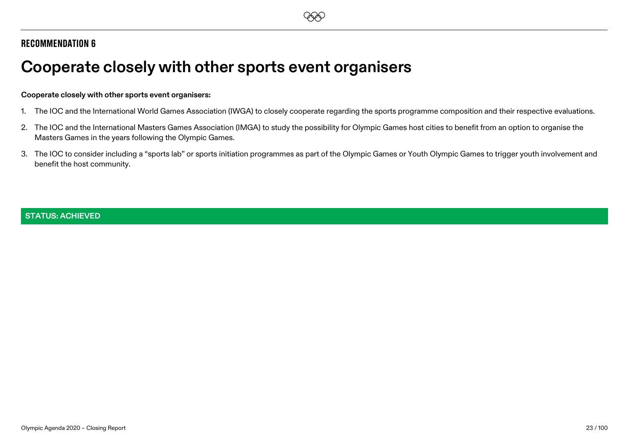# <span id="page-22-0"></span>**Cooperate closely with other sports event organisers**

#### **Cooperate closely with other sports event organisers:**

- 1. The IOC and the International World Games Association (IWGA) to closely cooperate regarding the sports programme composition and their respective evaluations.
- 2. The IOC and the International Masters Games Association (IMGA) to study the possibility for Olympic Games host cities to benefit from an option to organise the Masters Games in the years following the Olympic Games.
- 3. The IOC to consider including a "sports lab" or sports initiation programmes as part of the Olympic Games or Youth Olympic Games to trigger youth involvement and benefit the host community.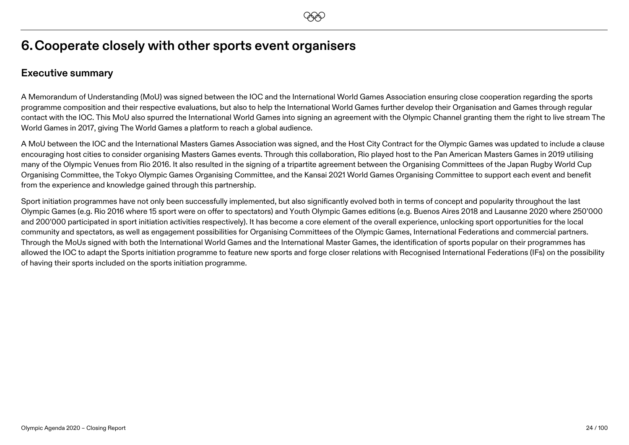# **6.Cooperate closely with other sports event organisers**

### **Executive summary**

A Memorandum of Understanding (MoU) was signed between the IOC and the International World Games Association ensuring close cooperation regarding the sports programme composition and their respective evaluations, but also to help the International World Games further develop their Organisation and Games through regular contact with the IOC. This MoU also spurred the International World Games into signing an agreement with the Olympic Channel granting them the right to live stream The World Games in 2017, giving The World Games a platform to reach a global audience.

A MoU between the IOC and the International Masters Games Association was signed, and the Host City Contract for the Olympic Games was updated to include a clause encouraging host cities to consider organising Masters Games events. Through this collaboration, Rio played host to the Pan American Masters Games in 2019 utilising many of the Olympic Venues from Rio 2016. It also resulted in the signing of a tripartite agreement between the Organising Committees of the Japan Rugby World Cup Organising Committee, the Tokyo Olympic Games Organising Committee, and the Kansai 2021 World Games Organising Committee to support each event and benefit from the experience and knowledge gained through this partnership.

Sport initiation programmes have not only been successfully implemented, but also significantly evolved both in terms of concept and popularity throughout the last Olympic Games (e.g. Rio 2016 where 15 sport were on offer to spectators) and Youth Olympic Games editions (e.g. Buenos Aires 2018 and Lausanne 2020 where 250'000 and 200'000 participated in sport initiation activities respectively). It has become a core element of the overall experience, unlocking sport opportunities for the local community and spectators, as well as engagement possibilities for Organising Committees of the Olympic Games, International Federations and commercial partners. Through the MoUs signed with both the International World Games and the International Master Games, the identification of sports popular on their programmes has allowed the IOC to adapt the Sports initiation programme to feature new sports and forge closer relations with Recognised International Federations (IFs) on the possibility of having their sports included on the sports initiation programme.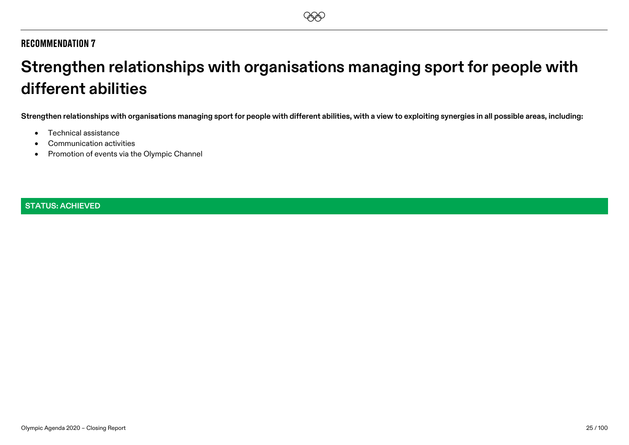# <span id="page-24-0"></span>**Strengthen relationships with organisations managing sport for people with different abilities**

**Strengthen relationships with organisations managing sport for people with different abilities, with a view to exploiting synergies in all possible areas, including:**

- Technical assistance
- Communication activities
- Promotion of events via the Olympic Channel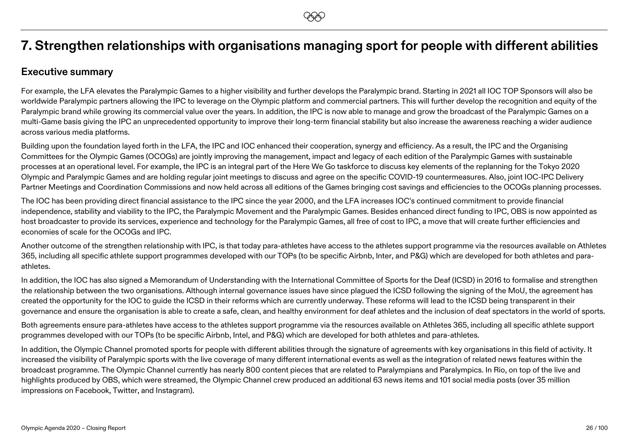# **7. Strengthen relationships with organisations managing sport for people with different abilities**

### **Executive summary**

For example, the LFA elevates the Paralympic Games to a higher visibility and further develops the Paralympic brand. Starting in 2021 all IOC TOP Sponsors will also be worldwide Paralympic partners allowing the IPC to leverage on the Olympic platform and commercial partners. This will further develop the recognition and equity of the Paralympic brand while growing its commercial value over the years. In addition, the IPC is now able to manage and grow the broadcast of the Paralympic Games on a multi-Game basis giving the IPC an unprecedented opportunity to improve their long-term financial stability but also increase the awareness reaching a wider audience across various media platforms.

Building upon the foundation layed forth in the LFA, the IPC and IOC enhanced their cooperation, synergy and efficiency. As a result, the IPC and the Organising Committees for the Olympic Games (OCOGs) are jointly improving the management, impact and legacy of each edition of the Paralympic Games with sustainable processes at an operational level. For example, the IPC is an integral part of the Here We Go taskforce to discuss key elements of the replanning for the Tokyo 2020 Olympic and Paralympic Games and are holding regular joint meetings to discuss and agree on the specific COVID-19 countermeasures. Also, joint IOC-IPC Delivery Partner Meetings and Coordination Commissions and now held across all editions of the Games bringing cost savings and efficiencies to the OCOGs planning processes.

The IOC has been providing direct financial assistance to the IPC since the year 2000, and the LFA increases IOC's continued commitment to provide financial independence, stability and viability to the IPC, the Paralympic Movement and the Paralympic Games. Besides enhanced direct funding to IPC, OBS is now appointed as host broadcaster to provide its services, experience and technology for the Paralympic Games, all free of cost to IPC, a move that will create further efficiencies and economies of scale for the OCOGs and IPC.

Another outcome of the strengthen relationship with IPC, is that today para-athletes have access to the athletes support programme via the resources available on Athletes 365, including all specific athlete support programmes developed with our TOPs (to be specific Airbnb, Inter, and P&G) which are developed for both athletes and paraathletes.

In addition, the IOC has also signed a Memorandum of Understanding with the International Committee of Sports for the Deaf (ICSD) in 2016 to formalise and strengthen the relationship between the two organisations. Although internal governance issues have since plagued the ICSD following the signing of the MoU, the agreement has created the opportunity for the IOC to guide the ICSD in their reforms which are currently underway. These reforms will lead to the ICSD being transparent in their governance and ensure the organisation is able to create a safe, clean, and healthy environment for deaf athletes and the inclusion of deaf spectators in the world of sports.

Both agreements ensure para-athletes have access to the athletes support programme via the resources available on Athletes 365, including all specific athlete support programmes developed with our TOPs (to be specific Airbnb, Intel, and P&G) which are developed for both athletes and para-athletes.

In addition, the Olympic Channel promoted sports for people with different abilities through the signature of agreements with key organisations in this field of activity. It increased the visibility of Paralympic sports with the live coverage of many different international events as well as the integration of related news features within the broadcast programme. The Olympic Channel currently has nearly 800 content pieces that are related to Paralympians and Paralympics. In Rio, on top of the live and highlights produced by OBS, which were streamed, the Olympic Channel crew produced an additional 63 news items and 101 social media posts (over 35 million impressions on Facebook, Twitter, and Instagram).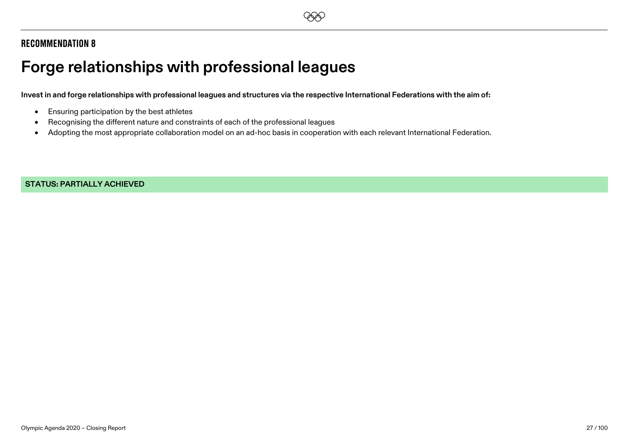# <span id="page-26-0"></span>**Forge relationships with professional leagues**

**Invest in and forge relationships with professional leagues and structures via the respective International Federations with the aim of:**

- Ensuring participation by the best athletes
- Recognising the different nature and constraints of each of the professional leagues
- Adopting the most appropriate collaboration model on an ad-hoc basis in cooperation with each relevant International Federation.

**STATUS: PARTIALLY ACHIEVED**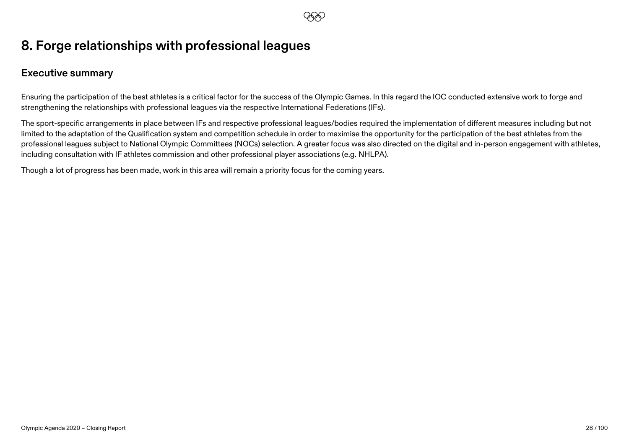# **8. Forge relationships with professional leagues**

### **Executive summary**

Ensuring the participation of the best athletes is a critical factor for the success of the Olympic Games. In this regard the IOC conducted extensive work to forge and strengthening the relationships with professional leagues via the respective International Federations (IFs).

The sport-specific arrangements in place between IFs and respective professional leagues/bodies required the implementation of different measures including but not limited to the adaptation of the Qualification system and competition schedule in order to maximise the opportunity for the participation of the best athletes from the professional leagues subject to National Olympic Committees (NOCs) selection. A greater focus was also directed on the digital and in-person engagement with athletes, including consultation with IF athletes commission and other professional player associations (e.g. NHLPA).

Though a lot of progress has been made, work in this area will remain a priority focus for the coming years.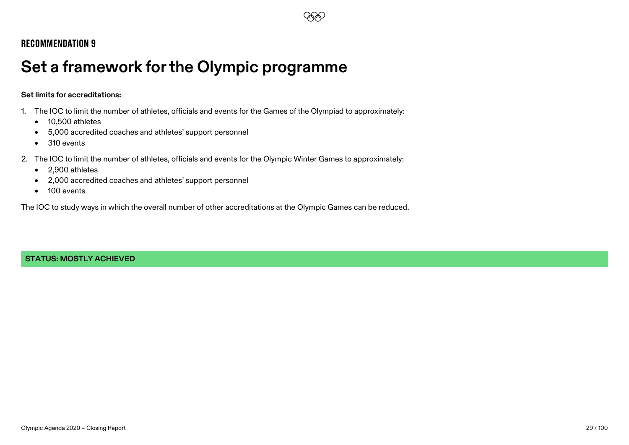

# <span id="page-28-0"></span>**Set a framework for the Olympic programme**

#### **Set limits for accreditations:**

- 1. The IOC to limit the number of athletes, officials and events for the Games of the Olympiad to approximately:
	- 10,500 athletes
	- 5,000 accredited coaches and athletes' support personnel
	- 310 events
- 2. The IOC to limit the number of athletes, officials and events for the Olympic Winter Games to approximately:
	- 2,900 athletes
	- 2,000 accredited coaches and athletes' support personnel
	- 100 events

The IOC to study ways in which the overall number of other accreditations at the Olympic Games can be reduced.

#### **STATUS: MOSTLY ACHIEVED**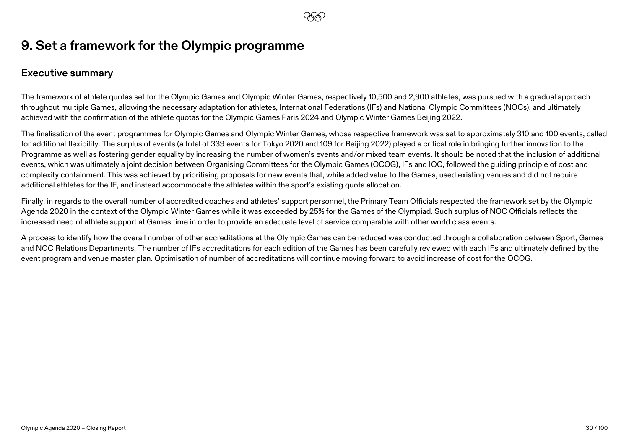# **9. Set a framework for the Olympic programme**

### **Executive summary**

The framework of athlete quotas set for the Olympic Games and Olympic Winter Games, respectively 10,500 and 2,900 athletes, was pursued with a gradual approach throughout multiple Games, allowing the necessary adaptation for athletes, International Federations (IFs) and National Olympic Committees (NOCs), and ultimately achieved with the confirmation of the athlete quotas for the Olympic Games Paris 2024 and Olympic Winter Games Beijing 2022.

The finalisation of the event programmes for Olympic Games and Olympic Winter Games, whose respective framework was set to approximately 310 and 100 events, called for additional flexibility. The surplus of events (a total of 339 events for Tokyo 2020 and 109 for Beijing 2022) played a critical role in bringing further innovation to the Programme as well as fostering gender equality by increasing the number of women's events and/or mixed team events. It should be noted that the inclusion of additional events, which was ultimately a joint decision between Organising Committees for the Olympic Games (OCOG), IFs and IOC, followed the guiding principle of cost and complexity containment. This was achieved by prioritising proposals for new events that, while added value to the Games, used existing venues and did not require additional athletes for the IF, and instead accommodate the athletes within the sport's existing quota allocation.

Finally, in regards to the overall number of accredited coaches and athletes' support personnel, the Primary Team Officials respected the framework set by the Olympic Agenda 2020 in the context of the Olympic Winter Games while it was exceeded by 25% for the Games of the Olympiad. Such surplus of NOC Officials reflects the increased need of athlete support at Games time in order to provide an adequate level of service comparable with other world class events.

A process to identify how the overall number of other accreditations at the Olympic Games can be reduced was conducted through a collaboration between Sport, Games and NOC Relations Departments. The number of IFs accreditations for each edition of the Games has been carefully reviewed with each IFs and ultimately defined by the event program and venue master plan. Optimisation of number of accreditations will continue moving forward to avoid increase of cost for the OCOG.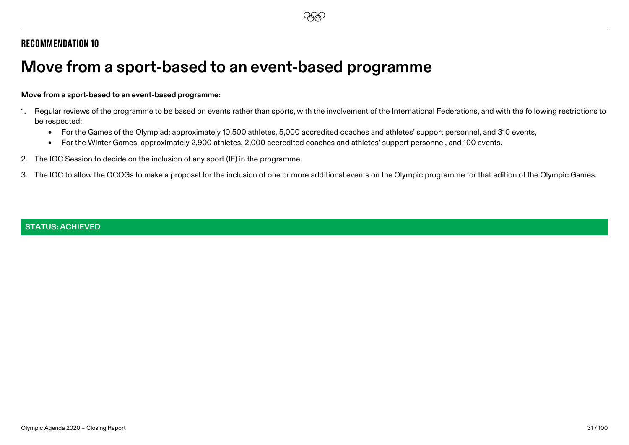# <span id="page-30-0"></span>**Move from a sport-based to an event-based programme**

#### **Move from a sport-based to an event-based programme:**

- 1. Regular reviews of the programme to be based on events rather than sports, with the involvement of the International Federations, and with the following restrictions to be respected:
	- For the Games of the Olympiad: approximately 10,500 athletes, 5,000 accredited coaches and athletes' support personnel, and 310 events,
	- For the Winter Games, approximately 2,900 athletes, 2,000 accredited coaches and athletes' support personnel, and 100 events.
- 2. The IOC Session to decide on the inclusion of any sport (IF) in the programme.
- 3. The IOC to allow the OCOGs to make a proposal for the inclusion of one or more additional events on the Olympic programme for that edition of the Olympic Games.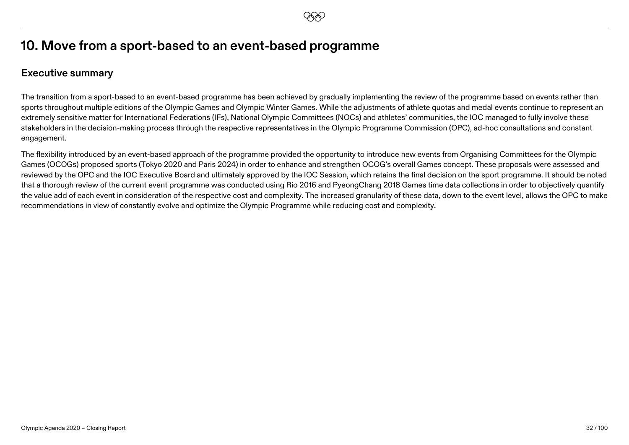# **10. Move from a sport-based to an event-based programme**

### **Executive summary**

The transition from a sport-based to an event-based programme has been achieved by gradually implementing the review of the programme based on events rather than sports throughout multiple editions of the Olympic Games and Olympic Winter Games. While the adjustments of athlete quotas and medal events continue to represent an extremely sensitive matter for International Federations (IFs), National Olympic Committees (NOCs) and athletes' communities, the IOC managed to fully involve these stakeholders in the decision-making process through the respective representatives in the Olympic Programme Commission (OPC), ad-hoc consultations and constant engagement.

The flexibility introduced by an event-based approach of the programme provided the opportunity to introduce new events from Organising Committees for the Olympic Games (OCOGs) proposed sports (Tokyo 2020 and Paris 2024) in order to enhance and strengthen OCOG's overall Games concept. These proposals were assessed and reviewed by the OPC and the IOC Executive Board and ultimately approved by the IOC Session, which retains the final decision on the sport programme. It should be noted that a thorough review of the current event programme was conducted using Rio 2016 and PyeongChang 2018 Games time data collections in order to objectively quantify the value add of each event in consideration of the respective cost and complexity. The increased granularity of these data, down to the event level, allows the OPC to make recommendations in view of constantly evolve and optimize the Olympic Programme while reducing cost and complexity.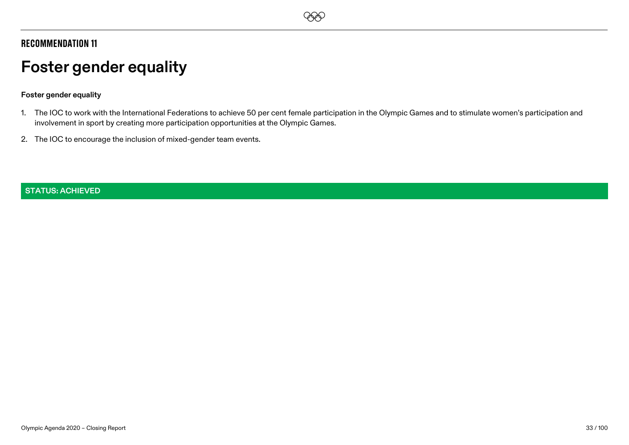# **EEO**

## Recommendation 11

# <span id="page-32-0"></span>**Foster gender equality**

#### **Foster gender equality**

- 1. The IOC to work with the International Federations to achieve 50 per cent female participation in the Olympic Games and to stimulate women's participation and involvement in sport by creating more participation opportunities at the Olympic Games.
- 2. The IOC to encourage the inclusion of mixed-gender team events.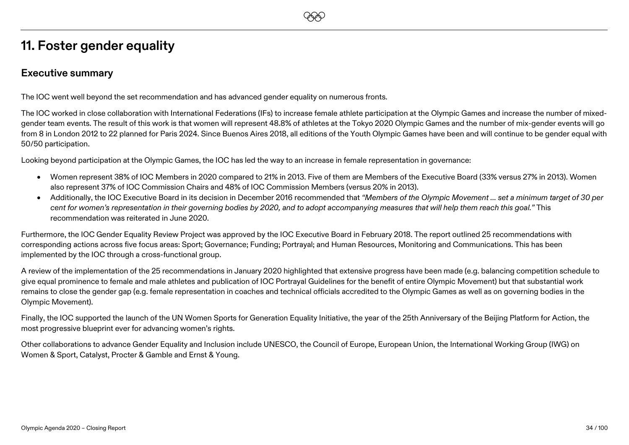# **11. Foster gender equality**

### **Executive summary**

The IOC went well beyond the set recommendation and has advanced gender equality on numerous fronts.

The IOC worked in close collaboration with International Federations (IFs) to increase female athlete participation at the Olympic Games and increase the number of mixedgender team events. The result of this work is that women will represent 48.8% of athletes at the Tokyo 2020 Olympic Games and the number of mix-gender events will go from 8 in London 2012 to 22 planned for Paris 2024. Since Buenos Aires 2018, all editions of the Youth Olympic Games have been and will continue to be gender equal with 50/50 participation.

**EEO** 

Looking beyond participation at the Olympic Games, the IOC has led the way to an increase in female representation in governance:

- Women represent 38% of IOC Members in 2020 compared to 21% in 2013. Five of them are Members of the Executive Board (33% versus 27% in 2013). Women also represent 37% of IOC Commission Chairs and 48% of IOC Commission Members (versus 20% in 2013).
- Additionally, the IOC Executive Board in its decision in December 2016 recommended that *"Members of the Olympic Movement … set a minimum target of 30 per cent for women's representation in their governing bodies by 2020, and to adopt accompanying measures that will help them reach this goal."* This recommendation was reiterated in June 2020.

Furthermore, the IOC Gender Equality Review Project was approved by the IOC Executive Board in February 2018. The report outlined 25 recommendations with corresponding actions across five focus areas: Sport; Governance; Funding; Portrayal; and Human Resources, Monitoring and Communications. This has been implemented by the IOC through a cross-functional group.

A review of the implementation of the 25 recommendations in January 2020 highlighted that extensive progress have been made (e.g. balancing competition schedule to give equal prominence to female and male athletes and publication of IOC Portrayal Guidelines for the benefit of entire Olympic Movement) but that substantial work remains to close the gender gap (e.g. female representation in coaches and technical officials accredited to the Olympic Games as well as on governing bodies in the Olympic Movement).

Finally, the IOC supported the launch of the UN Women Sports for Generation Equality Initiative, the year of the 25th Anniversary of the Beijing Platform for Action, the most progressive blueprint ever for advancing women's rights.

Other collaborations to advance Gender Equality and Inclusion include UNESCO, the Council of Europe, European Union, the International Working Group (IWG) on Women & Sport, Catalyst, Procter & Gamble and Ernst & Young.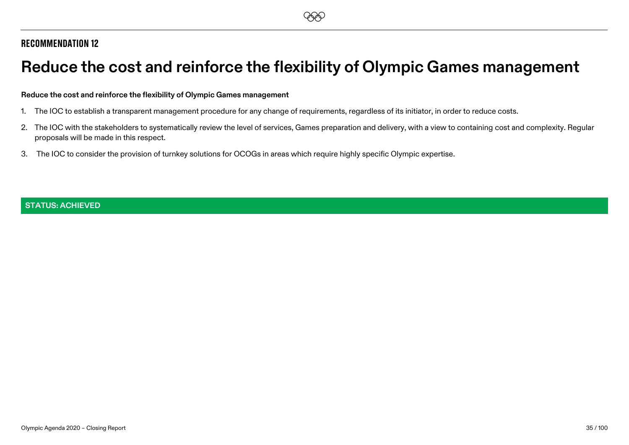# <span id="page-34-0"></span>**Reduce the cost and reinforce the flexibility of Olympic Games management**

#### **Reduce the cost and reinforce the flexibility of Olympic Games management**

- 1. The IOC to establish a transparent management procedure for any change of requirements, regardless of its initiator, in order to reduce costs.
- 2. The IOC with the stakeholders to systematically review the level of services, Games preparation and delivery, with a view to containing cost and complexity. Regular proposals will be made in this respect.
- 3. The IOC to consider the provision of turnkey solutions for OCOGs in areas which require highly specific Olympic expertise.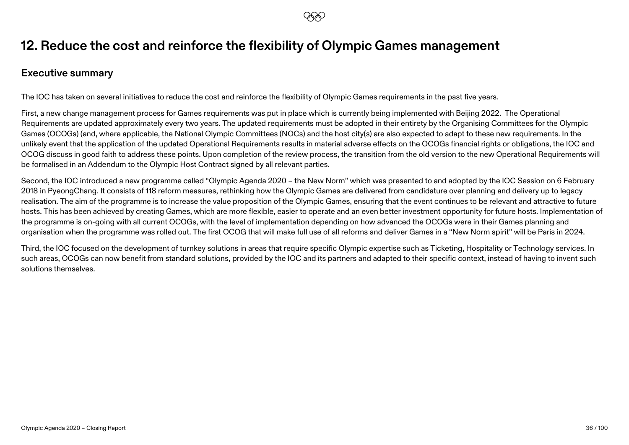# **12. Reduce the cost and reinforce the flexibility of Olympic Games management**

### **Executive summary**

The IOC has taken on several initiatives to reduce the cost and reinforce the flexibility of Olympic Games requirements in the past five years.

First, a new change management process for Games requirements was put in place which is currently being implemented with Beijing 2022. The Operational Requirements are updated approximately every two years. The updated requirements must be adopted in their entirety by the Organising Committees for the Olympic Games (OCOGs) (and, where applicable, the National Olympic Committees (NOCs) and the host city(s) are also expected to adapt to these new requirements. In the unlikely event that the application of the updated Operational Requirements results in material adverse effects on the OCOGs financial rights or obligations, the IOC and OCOG discuss in good faith to address these points. Upon completion of the review process, the transition from the old version to the new Operational Requirements will be formalised in an Addendum to the Olympic Host Contract signed by all relevant parties.

Second, the IOC introduced a new programme called "Olympic Agenda 2020 – the New Norm" which was presented to and adopted by the IOC Session on 6 February 2018 in PyeongChang. It consists of 118 reform measures, rethinking how the Olympic Games are delivered from candidature over planning and delivery up to legacy realisation. The aim of the programme is to increase the value proposition of the Olympic Games, ensuring that the event continues to be relevant and attractive to future hosts. This has been achieved by creating Games, which are more flexible, easier to operate and an even better investment opportunity for future hosts. Implementation of the programme is on-going with all current OCOGs, with the level of implementation depending on how advanced the OCOGs were in their Games planning and organisation when the programme was rolled out. The first OCOG that will make full use of all reforms and deliver Games in a "New Norm spirit" will be Paris in 2024.

Third, the IOC focused on the development of turnkey solutions in areas that require specific Olympic expertise such as Ticketing, Hospitality or Technology services. In such areas, OCOGs can now benefit from standard solutions, provided by the IOC and its partners and adapted to their specific context, instead of having to invent such solutions themselves.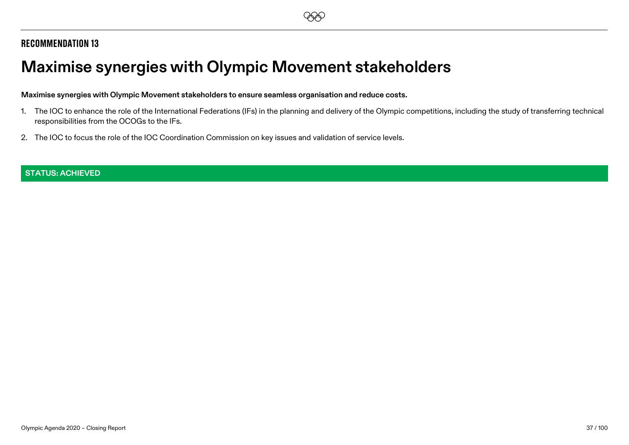# **Maximise synergies with Olympic Movement stakeholders**

#### **Maximise synergies with Olympic Movement stakeholders to ensure seamless organisation and reduce costs.**

- 1. The IOC to enhance the role of the International Federations (IFs) in the planning and delivery of the Olympic competitions, including the study of transferring technical responsibilities from the OCOGs to the IFs.
- 2. The IOC to focus the role of the IOC Coordination Commission on key issues and validation of service levels.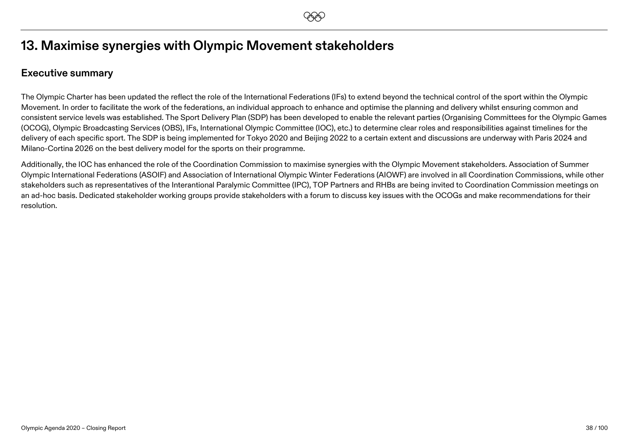# **13. Maximise synergies with Olympic Movement stakeholders**

## **Executive summary**

The Olympic Charter has been updated the reflect the role of the International Federations (IFs) to extend beyond the technical control of the sport within the Olympic Movement. In order to facilitate the work of the federations, an individual approach to enhance and optimise the planning and delivery whilst ensuring common and consistent service levels was established. The Sport Delivery Plan (SDP) has been developed to enable the relevant parties (Organising Committees for the Olympic Games (OCOG), Olympic Broadcasting Services (OBS), IFs, International Olympic Committee (IOC), etc.) to determine clear roles and responsibilities against timelines for the delivery of each specific sport. The SDP is being implemented for Tokyo 2020 and Beijing 2022 to a certain extent and discussions are underway with Paris 2024 and Milano-Cortina 2026 on the best delivery model for the sports on their programme.

Additionally, the IOC has enhanced the role of the Coordination Commission to maximise synergies with the Olympic Movement stakeholders. Association of Summer Olympic International Federations (ASOIF) and Association of International Olympic Winter Federations (AIOWF) are involved in all Coordination Commissions, while other stakeholders such as representatives of the Interantional Paralymic Committee (IPC), TOP Partners and RHBs are being invited to Coordination Commission meetings on an ad-hoc basis. Dedicated stakeholder working groups provide stakeholders with a forum to discuss key issues with the OCOGs and make recommendations for their resolution.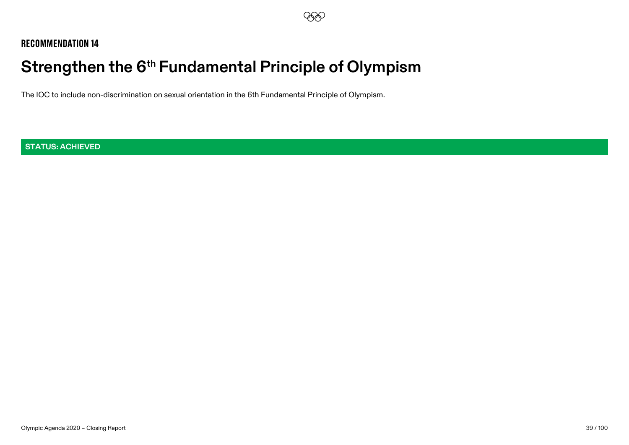# **Strengthen the 6th Fundamental Principle of Olympism**

The IOC to include non-discrimination on sexual orientation in the 6th Fundamental Principle of Olympism.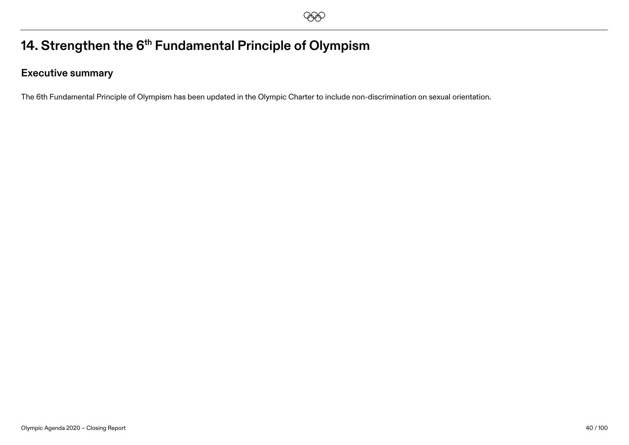# 14. Strengthen the 6<sup>th</sup> Fundamental Principle of Olympism

## **Executive summary**

The 6th Fundamental Principle of Olympism has been updated in the Olympic Charter to include non-discrimination on sexual orientation.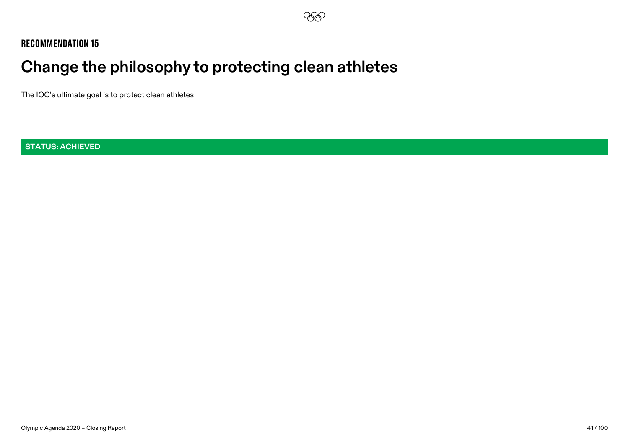# **Change the philosophy to protecting clean athletes**

The IOC's ultimate goal is to protect clean athletes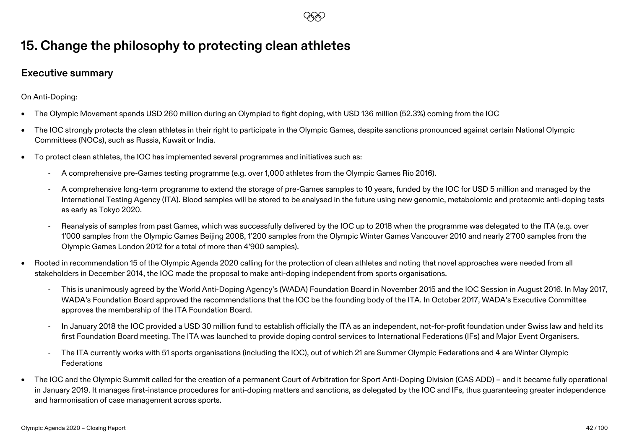# **EEO**

# **15. Change the philosophy to protecting clean athletes**

## **Executive summary**

On Anti-Doping:

- The Olympic Movement spends USD 260 million during an Olympiad to fight doping, with USD 136 million (52.3%) coming from the IOC
- The IOC strongly protects the clean athletes in their right to participate in the Olympic Games, despite sanctions pronounced against certain National Olympic Committees (NOCs), such as Russia, Kuwait or India.
- To protect clean athletes, the IOC has implemented several programmes and initiatives such as:
	- A comprehensive pre-Games testing programme (e.g. over 1,000 athletes from the Olympic Games Rio 2016).
	- A comprehensive long-term programme to extend the storage of pre-Games samples to 10 years, funded by the IOC for USD 5 million and managed by the International Testing Agency (ITA). Blood samples will be stored to be analysed in the future using new genomic, metabolomic and proteomic anti-doping tests as early as Tokyo 2020.
	- Reanalysis of samples from past Games, which was successfully delivered by the IOC up to 2018 when the programme was delegated to the ITA (e.g. over 1'000 samples from the Olympic Games Beijing 2008, 1'200 samples from the Olympic Winter Games Vancouver 2010 and nearly 2'700 samples from the Olympic Games London 2012 for a total of more than 4'900 samples).
- Rooted in recommendation 15 of the Olympic Agenda 2020 calling for the protection of clean athletes and noting that novel approaches were needed from all stakeholders in December 2014, the IOC made the proposal to make anti-doping independent from sports organisations.
	- This is unanimously agreed by the World Anti-Doping Agency's (WADA) Foundation Board in November 2015 and the IOC Session in August 2016. In May 2017, WADA's Foundation Board approved the recommendations that the IOC be the founding body of the ITA. In October 2017, WADA's Executive Committee approves the membership of the ITA Foundation Board.
	- In January 2018 the IOC provided a USD 30 million fund to establish officially the ITA as an independent, not-for-profit foundation under Swiss law and held its first Foundation Board meeting. The ITA was launched to provide doping control services to International Federations (IFs) and Major Event Organisers.
	- The ITA currently works with 51 sports organisations (including the IOC), out of which 21 are Summer Olympic Federations and 4 are Winter Olympic Federations
- The IOC and the Olympic Summit called for the creation of a permanent Court of Arbitration for Sport Anti-Doping Division (CAS ADD) and it became fully operational in January 2019. It manages first-instance procedures for anti-doping matters and sanctions, as delegated by the IOC and IFs, thus guaranteeing greater independence and harmonisation of case management across sports.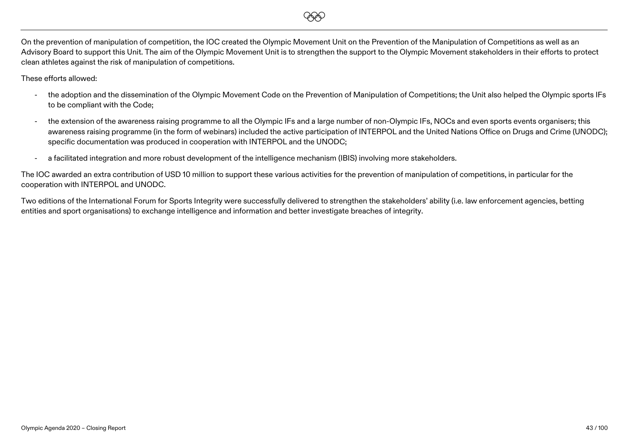

On the prevention of manipulation of competition, the IOC created the Olympic Movement Unit on the Prevention of the Manipulation of Competitions as well as an Advisory Board to support this Unit. The aim of the Olympic Movement Unit is to strengthen the support to the Olympic Movement stakeholders in their efforts to protect clean athletes against the risk of manipulation of competitions.

These efforts allowed:

- the adoption and the dissemination of the Olympic Movement Code on the Prevention of Manipulation of Competitions; the Unit also helped the Olympic sports IFs to be compliant with the Code;
- the extension of the awareness raising programme to all the Olympic IFs and a large number of non-Olympic IFs, NOCs and even sports events organisers; this awareness raising programme (in the form of webinars) included the active participation of INTERPOL and the United Nations Office on Drugs and Crime (UNODC); specific documentation was produced in cooperation with INTERPOL and the UNODC;
- a facilitated integration and more robust development of the intelligence mechanism (IBIS) involving more stakeholders.

The IOC awarded an extra contribution of USD 10 million to support these various activities for the prevention of manipulation of competitions, in particular for the cooperation with INTERPOL and UNODC.

Two editions of the International Forum for Sports Integrity were successfully delivered to strengthen the stakeholders' ability (i.e. law enforcement agencies, betting entities and sport organisations) to exchange intelligence and information and better investigate breaches of integrity.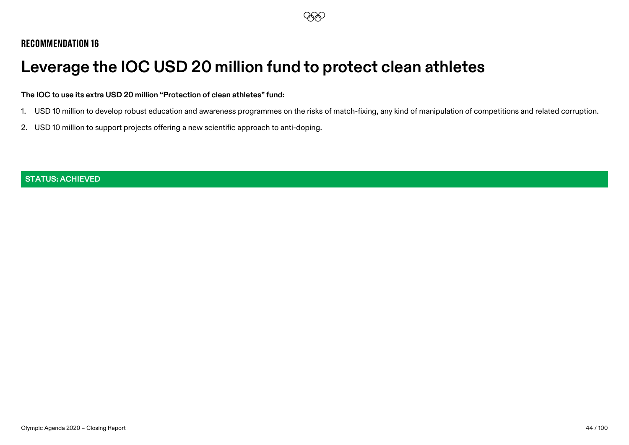# **Leverage the IOC USD 20 million fund to protect clean athletes**

#### **The IOC to use its extra USD 20 million "Protection of clean athletes" fund:**

- 1. USD 10 million to develop robust education and awareness programmes on the risks of match-fixing, any kind of manipulation of competitions and related corruption.
- 2. USD 10 million to support projects offering a new scientific approach to anti-doping.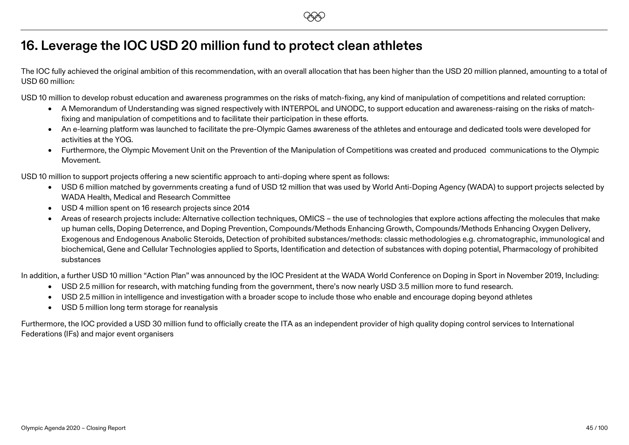## **16. Leverage the IOC USD 20 million fund to protect clean athletes**

The IOC fully achieved the original ambition of this recommendation, with an overall allocation that has been higher than the USD 20 million planned, amounting to a total of USD 60 million:

**EEO** 

USD 10 million to develop robust education and awareness programmes on the risks of match-fixing, any kind of manipulation of competitions and related corruption:

- A Memorandum of Understanding was signed respectively with INTERPOL and UNODC, to support education and awareness-raising on the risks of matchfixing and manipulation of competitions and to facilitate their participation in these efforts.
- An e-learning platform was launched to facilitate the pre-Olympic Games awareness of the athletes and entourage and dedicated tools were developed for activities at the YOG.
- Furthermore, the Olympic Movement Unit on the Prevention of the Manipulation of Competitions was created and produced communications to the Olympic Movement.

USD 10 million to support projects offering a new scientific approach to anti-doping where spent as follows:

- USD 6 million matched by governments creating a fund of USD 12 million that was used by World Anti-Doping Agency (WADA) to support projects selected by WADA Health, Medical and Research Committee
- USD 4 million spent on 16 research projects since 2014
- Areas of research projects include: Alternative collection techniques, OMICS the use of technologies that explore actions affecting the molecules that make up human cells, Doping Deterrence, and Doping Prevention, Compounds/Methods Enhancing Growth, Compounds/Methods Enhancing Oxygen Delivery, Exogenous and Endogenous Anabolic Steroids, Detection of prohibited substances/methods: classic methodologies e.g. chromatographic, immunological and biochemical, Gene and Cellular Technologies applied to Sports, Identification and detection of substances with doping potential, Pharmacology of prohibited substances

In addition, a further USD 10 million "Action Plan" was announced by the IOC President at the WADA World Conference on Doping in Sport in November 2019, Including:

- USD 2.5 million for research, with matching funding from the government, there's now nearly USD 3.5 million more to fund research.
- USD 2.5 million in intelligence and investigation with a broader scope to include those who enable and encourage doping beyond athletes
- USD 5 million long term storage for reanalysis

Furthermore, the IOC provided a USD 30 million fund to officially create the ITA as an independent provider of high quality doping control services to International Federations (IFs) and major event organisers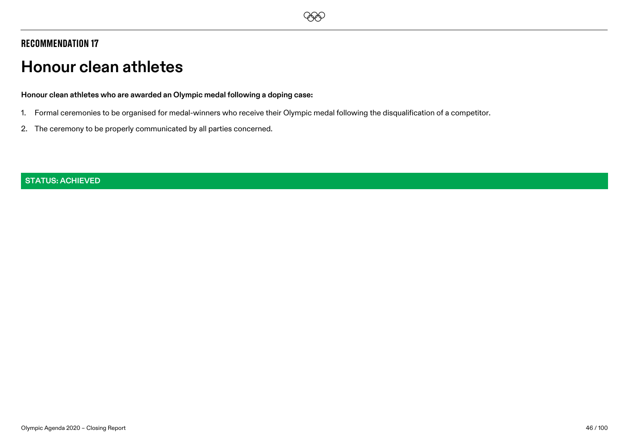# **EEO**

## Recommendation 17

# **Honour clean athletes**

**Honour clean athletes who are awarded an Olympic medal following a doping case:** 

- 1. Formal ceremonies to be organised for medal-winners who receive their Olympic medal following the disqualification of a competitor.
- 2. The ceremony to be properly communicated by all parties concerned.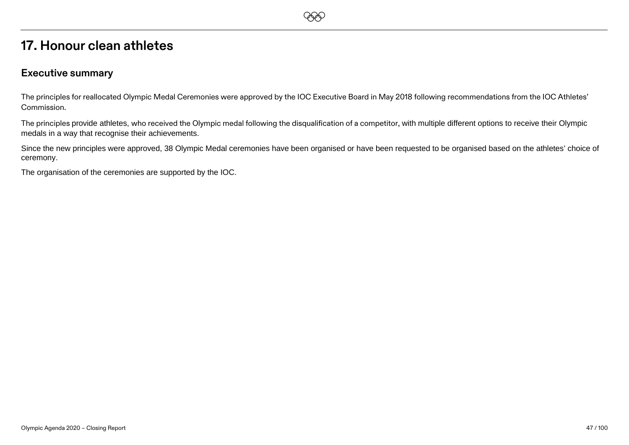## **17. Honour clean athletes**

#### **Executive summary**

The principles for reallocated Olympic Medal Ceremonies were approved by the IOC Executive Board in May 2018 following recommendations from the IOC Athletes' Commission.

**EEO** 

The principles provide athletes, who received the Olympic medal following the disqualification of a competitor, with multiple different options to receive their Olympic medals in a way that recognise their achievements.

Since the new principles were approved, 38 Olympic Medal ceremonies have been organised or have been requested to be organised based on the athletes' choice of ceremony.

The organisation of the ceremonies are supported by the IOC.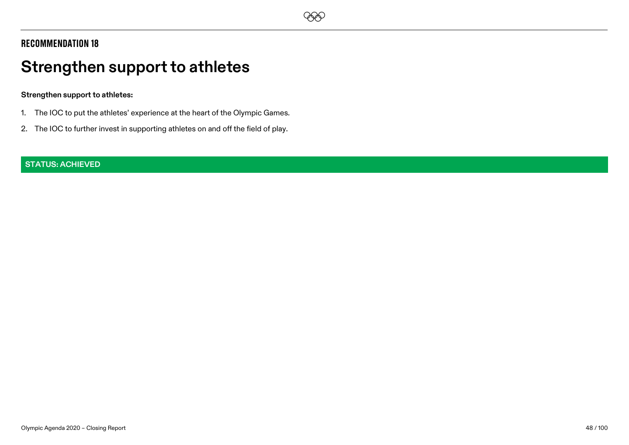

# **Strengthen support to athletes**

#### **Strengthen support to athletes:**

- 1. The IOC to put the athletes' experience at the heart of the Olympic Games.
- 2. The IOC to further invest in supporting athletes on and off the field of play.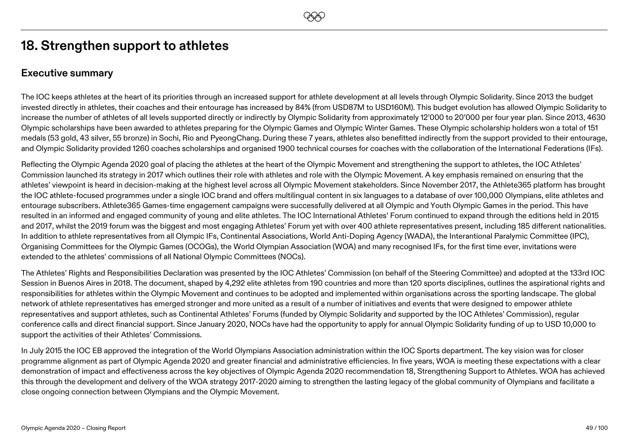## **18. Strengthen support to athletes**

### **Executive summary**

The IOC keeps athletes at the heart of its priorities through an increased support for athlete development at all levels through Olympic Solidarity. Since 2013 the budget invested directly in athletes, their coaches and their entourage has increased by 84% (from USD87M to USD160M). This budget evolution has allowed Olympic Solidarity to increase the number of athletes of all levels supported directly or indirectly by Olympic Solidarity from approximately 12'000 to 20'000 per four year plan. Since 2013, 4630 Olympic scholarships have been awarded to athletes preparing for the Olympic Games and Olympic Winter Games. These Olympic scholarship holders won a total of 151 medals (53 gold, 43 silver, 55 bronze) in Sochi, Rio and PyeongChang. During these 7 years, athletes also benefitted indirectly from the support provided to their entourage, and Olympic Solidarity provided 1260 coaches scholarships and organised 1900 technical courses for coaches with the collaboration of the International Federations (IFs).

Reflecting the Olympic Agenda 2020 goal of placing the athletes at the heart of the Olympic Movement and strengthening the support to athletes, the IOC Athletes' Commission launched its strategy in 2017 which outlines their role with athletes and role with the Olympic Movement. A key emphasis remained on ensuring that the athletes' viewpoint is heard in decision-making at the highest level across all Olympic Movement stakeholders. Since November 2017, the Athlete365 platform has brought the IOC athlete-focused programmes under a single IOC brand and offers multilingual content in six languages to a database of over 100,000 Olympians, elite athletes and entourage subscribers. Athlete365 Games-time engagement campaigns were successfully delivered at all Olympic and Youth Olympic Games in the period. This have resulted in an informed and engaged community of young and elite athletes. The IOC International Athletes' Forum continued to expand through the editions held in 2015 and 2017, whilst the 2019 forum was the biggest and most engaging Athletes' Forum yet with over 400 athlete representatives present, including 185 different nationalities. In addition to athlete representatives from all Olympic IFs, Continental Associations, World Anti-Doping Agency (WADA), the Interantional Paralymic Committee (IPC), Organising Committees for the Olympic Games (OCOGs), the World Olympian Association (WOA) and many recognised IFs, for the first time ever, invitations were extended to the athletes' commissions of all National Olympic Committees (NOCs).

The Athletes' Rights and Responsibilities Declaration was presented by the IOC Athletes' Commission (on behalf of the Steering Committee) and adopted at the 133rd IOC Session in Buenos Aires in 2018. The document, shaped by 4,292 elite athletes from 190 countries and more than 120 sports disciplines, outlines the aspirational rights and responsibilities for athletes within the Olympic Movement and continues to be adopted and implemented within organisations across the sporting landscape. The global network of athlete representatives has emerged stronger and more united as a result of a number of initiatives and events that were designed to empower athlete representatives and support athletes, such as Continental Athletes' Forums (funded by Olympic Solidarity and supported by the IOC Athletes' Commission), regular conference calls and direct financial support. Since January 2020, NOCs have had the opportunity to apply for annual Olympic Solidarity funding of up to USD 10,000 to support the activities of their Athletes' Commissions.

In July 2015 the IOC EB approved the integration of the World Olympians Association administration within the IOC Sports department. The key vision was for closer programme alignment as part of Olympic Agenda 2020 and greater financial and administrative efficiencies. In five years, WOA is meeting these expectations with a clear demonstration of impact and effectiveness across the key objectives of Olympic Agenda 2020 recommendation 18, Strengthening Support to Athletes. WOA has achieved this through the development and delivery of the WOA strategy 2017-2020 aiming to strengthen the lasting legacy of the global community of Olympians and facilitate a close ongoing connection between Olympians and the Olympic Movement.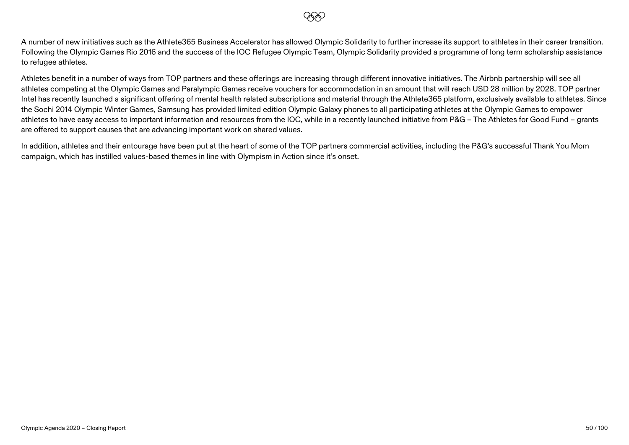

A number of new initiatives such as the Athlete365 Business Accelerator has allowed Olympic Solidarity to further increase its support to athletes in their career transition. Following the Olympic Games Rio 2016 and the success of the IOC Refugee Olympic Team, Olympic Solidarity provided a programme of long term scholarship assistance to refugee athletes.

Athletes benefit in a number of ways from TOP partners and these offerings are increasing through different innovative initiatives. The Airbnb partnership will see all athletes competing at the Olympic Games and Paralympic Games receive vouchers for accommodation in an amount that will reach USD 28 million by 2028. TOP partner Intel has recently launched a significant offering of mental health related subscriptions and material through the Athlete365 platform, exclusively available to athletes. Since the Sochi 2014 Olympic Winter Games, Samsung has provided limited edition Olympic Galaxy phones to all participating athletes at the Olympic Games to empower athletes to have easy access to important information and resources from the IOC, while in a recently launched initiative from P&G – The Athletes for Good Fund – grants are offered to support causes that are advancing important work on shared values.

In addition, athletes and their entourage have been put at the heart of some of the TOP partners commercial activities, including the P&G's successful Thank You Mom campaign, which has instilled values-based themes in line with Olympism in Action since it's onset.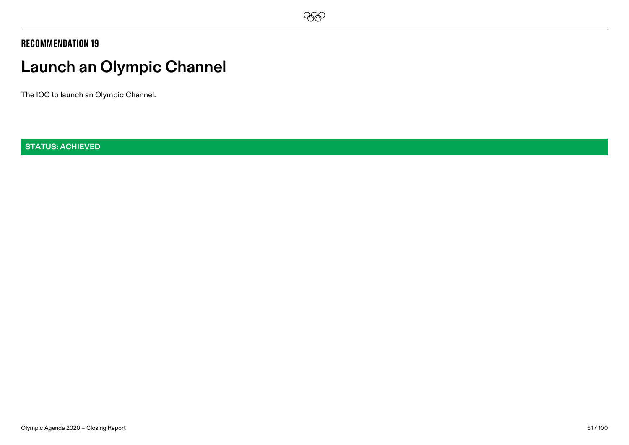

# **Launch an Olympic Channel**

The IOC to launch an Olympic Channel.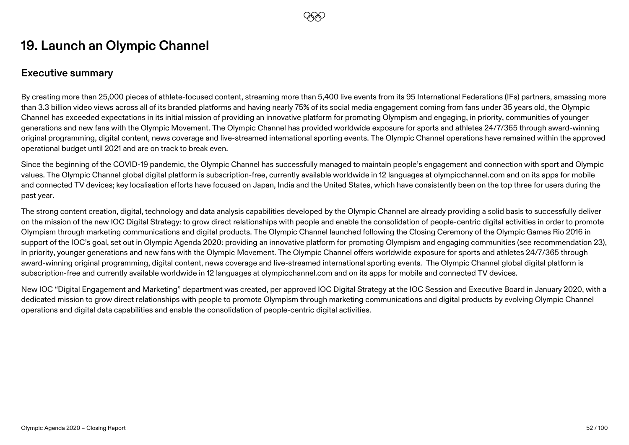# **19. Launch an Olympic Channel**

## **Executive summary**

By creating more than 25,000 pieces of athlete-focused content, streaming more than 5,400 live events from its 95 International Federations (IFs) partners, amassing more than 3.3 billion video views across all of its branded platforms and having nearly 75% of its social media engagement coming from fans under 35 years old, the Olympic Channel has exceeded expectations in its initial mission of providing an innovative platform for promoting Olympism and engaging, in priority, communities of younger generations and new fans with the Olympic Movement. The Olympic Channel has provided worldwide exposure for sports and athletes 24/7/365 through award-winning original programming, digital content, news coverage and live-streamed international sporting events. The Olympic Channel operations have remained within the approved operational budget until 2021 and are on track to break even.

Since the beginning of the COVID-19 pandemic, the Olympic Channel has successfully managed to maintain people's engagement and connection with sport and Olympic values. The Olympic Channel global digital platform is subscription-free, currently available worldwide in 12 languages at olympicchannel.com and on its apps for mobile and connected TV devices; key localisation efforts have focused on Japan, India and the United States, which have consistently been on the top three for users during the past year.

The strong content creation, digital, technology and data analysis capabilities developed by the Olympic Channel are already providing a solid basis to successfully deliver on the mission of the new IOC Digital Strategy: to grow direct relationships with people and enable the consolidation of people-centric digital activities in order to promote Olympism through marketing communications and digital products. The Olympic Channel launched following the Closing Ceremony of the Olympic Games Rio 2016 in support of the IOC's goal, set out in Olympic Agenda 2020: providing an innovative platform for promoting Olympism and engaging communities (see recommendation 23), in priority, younger generations and new fans with the Olympic Movement. The Olympic Channel offers worldwide exposure for sports and athletes 24/7/365 through award-winning original programming, digital content, news coverage and live-streamed international sporting events. The Olympic Channel global digital platform is subscription-free and currently available worldwide in 12 languages at olympicchannel.com and on its apps for mobile and connected TV devices.

New IOC "Digital Engagement and Marketing" department was created, per approved IOC Digital Strategy at the IOC Session and Executive Board in January 2020, with a dedicated mission to grow direct relationships with people to promote Olympism through marketing communications and digital products by evolving Olympic Channel operations and digital data capabilities and enable the consolidation of people-centric digital activities.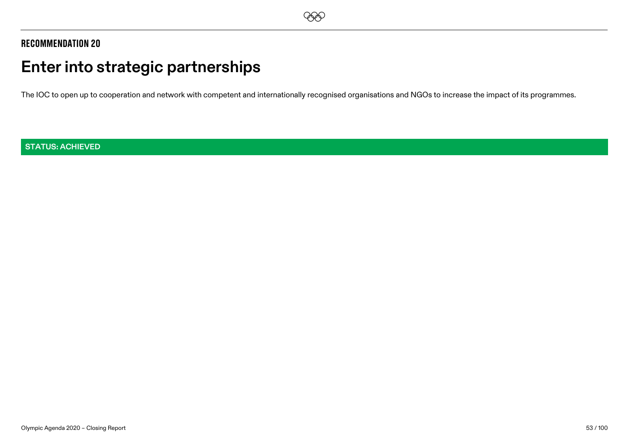

# **Enter into strategic partnerships**

The IOC to open up to cooperation and network with competent and internationally recognised organisations and NGOs to increase the impact of its programmes.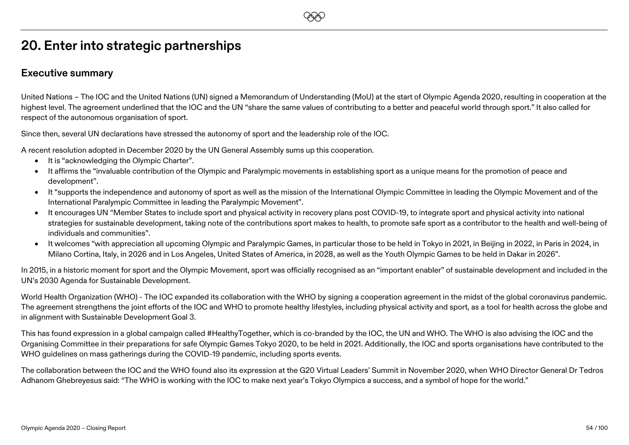# **20. Enter into strategic partnerships**

#### **Executive summary**

United Nations – The IOC and the United Nations (UN) signed a Memorandum of Understanding (MoU) at the start of Olympic Agenda 2020, resulting in cooperation at the highest level. The agreement underlined that the IOC and the UN "share the same values of contributing to a better and peaceful world through sport." It also called for respect of the autonomous organisation of sport.

**EEO** 

Since then, several UN declarations have stressed the autonomy of sport and the leadership role of the IOC.

A recent resolution adopted in December 2020 by the UN General Assembly sums up this cooperation.

- It is "acknowledging the Olympic Charter".
- It affirms the "invaluable contribution of the Olympic and Paralympic movements in establishing sport as a unique means for the promotion of peace and development".
- It "supports the independence and autonomy of sport as well as the mission of the International Olympic Committee in leading the Olympic Movement and of the International Paralympic Committee in leading the Paralympic Movement".
- It encourages UN "Member States to include sport and physical activity in recovery plans post COVID-19, to integrate sport and physical activity into national strategies for sustainable development, taking note of the contributions sport makes to health, to promote safe sport as a contributor to the health and well-being of individuals and communities".
- It welcomes "with appreciation all upcoming Olympic and Paralympic Games, in particular those to be held in Tokyo in 2021, in Beijing in 2022, in Paris in 2024, in Milano Cortina, Italy, in 2026 and in Los Angeles, United States of America, in 2028, as well as the Youth Olympic Games to be held in Dakar in 2026".

In 2015, in a historic moment for sport and the Olympic Movement, sport was officially recognised as an "important enabler" of sustainable development and included in the UN's 2030 Agenda for Sustainable Development.

World Health Organization (WHO) - The IOC expanded its collaboration with the WHO by signing a cooperation agreement in the midst of the global coronavirus pandemic. The agreement strengthens the joint efforts of the IOC and WHO to promote healthy lifestyles, including physical activity and sport, as a tool for health across the globe and in alignment with Sustainable Development Goal 3.

This has found expression in a global campaign called #HealthyTogether, which is co-branded by the IOC, the UN and WHO. The WHO is also advising the IOC and the Organising Committee in their preparations for safe Olympic Games Tokyo 2020, to be held in 2021. Additionally, the IOC and sports organisations have contributed to the WHO guidelines on mass gatherings during the COVID-19 pandemic, including sports events.

The collaboration between the IOC and the WHO found also its expression at the G20 Virtual Leaders' Summit in November 2020, when WHO Director General Dr Tedros Adhanom Ghebreyesus said: "The WHO is working with the IOC to make next year's Tokyo Olympics a success, and a symbol of hope for the world."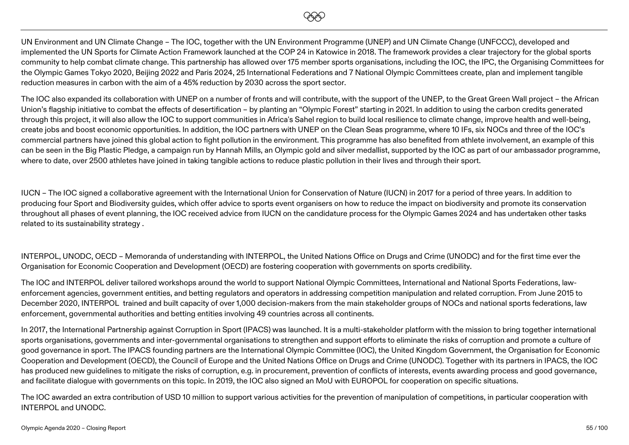

UN Environment and UN Climate Change – The IOC, together with the UN Environment Programme (UNEP) and UN Climate Change (UNFCCC), developed and implemented the UN Sports for Climate Action Framework launched at the COP 24 in Katowice in 2018. The framework provides a clear trajectory for the global sports community to help combat climate change. This partnership has allowed over 175 member sports organisations, including the IOC, the IPC, the Organising Committees for the Olympic Games Tokyo 2020, Beijing 2022 and Paris 2024, 25 International Federations and 7 National Olympic Committees create, plan and implement tangible reduction measures in carbon with the aim of a 45% reduction by 2030 across the sport sector.

The IOC also expanded its collaboration with UNEP on a number of fronts and will contribute, with the support of the UNEP, to the Great Green Wall project – the African Union's flagship initiative to combat the effects of desertification – by planting an "Olympic Forest" starting in 2021. In addition to using the carbon credits generated through this project, it will also allow the IOC to support communities in Africa's Sahel region to build local resilience to climate change, improve health and well-being, create jobs and boost economic opportunities. In addition, the IOC partners with UNEP on the Clean Seas programme, where 10 IFs, six NOCs and three of the IOC's commercial partners have joined this global action to fight pollution in the environment. This programme has also benefited from athlete involvement, an example of this can be seen in the Big Plastic Pledge, a campaign run by Hannah Mills, an Olympic gold and silver medallist, supported by the IOC as part of our ambassador programme, where to date, over 2500 athletes have joined in taking tangible actions to reduce plastic pollution in their lives and through their sport.

IUCN – The IOC signed a collaborative agreement with the International Union for Conservation of Nature (IUCN) in 2017 for a period of three years. In addition to producing four Sport and Biodiversity guides, which offer advice to sports event organisers on how to reduce the impact on biodiversity and promote its conservation throughout all phases of event planning, the IOC received advice from IUCN on the candidature process for the Olympic Games 2024 and has undertaken other tasks related to its sustainability strategy .

INTERPOL, UNODC, OECD – Memoranda of understanding with INTERPOL, the United Nations Office on Drugs and Crime (UNODC) and for the first time ever the Organisation for Economic Cooperation and Development (OECD) are fostering cooperation with governments on sports credibility.

The IOC and INTERPOL deliver tailored workshops around the world to support National Olympic Committees, International and National Sports Federations, lawenforcement agencies, government entities, and betting regulators and operators in addressing competition manipulation and related corruption. From June 2015 to December 2020, INTERPOL trained and built capacity of over 1,000 decision-makers from the main stakeholder groups of NOCs and national sports federations, law enforcement, governmental authorities and betting entities involving 49 countries across all continents.

In 2017, the International Partnership against Corruption in Sport (IPACS) was launched. It is a multi-stakeholder platform with the mission to bring together international sports organisations, governments and inter-governmental organisations to strengthen and support efforts to eliminate the risks of corruption and promote a culture of good governance in sport. The IPACS founding partners are the International Olympic Committee (IOC), the United Kingdom Government, the Organisation for Economic Cooperation and Development (OECD), the Council of Europe and the United Nations Office on Drugs and Crime (UNODC). Together with its partners in IPACS, the IOC has produced new guidelines to mitigate the risks of corruption, e.g. in procurement, prevention of conflicts of interests, events awarding process and good governance, and facilitate dialogue with governments on this topic. In 2019, the IOC also signed an MoU with EUROPOL for cooperation on specific situations.

The IOC awarded an extra contribution of USD 10 million to support various activities for the prevention of manipulation of competitions, in particular cooperation with INTERPOL and UNODC.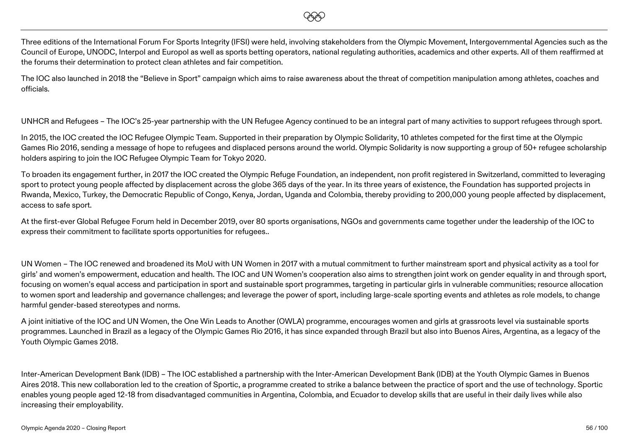

Three editions of the International Forum For Sports Integrity (IFSI) were held, involving stakeholders from the Olympic Movement, Intergovernmental Agencies such as the Council of Europe, UNODC, Interpol and Europol as well as sports betting operators, national regulating authorities, academics and other experts. All of them reaffirmed at the forums their determination to protect clean athletes and fair competition.

The IOC also launched in 2018 the "Believe in Sport" campaign which aims to raise awareness about the threat of competition manipulation among athletes, coaches and officials.

UNHCR and Refugees – The IOC's 25-year partnership with the UN Refugee Agency continued to be an integral part of many activities to support refugees through sport.

In 2015, the IOC created the IOC Refugee Olympic Team. Supported in their preparation by Olympic Solidarity, 10 athletes competed for the first time at the Olympic Games Rio 2016, sending a message of hope to refugees and displaced persons around the world. Olympic Solidarity is now supporting a group of 50+ refugee scholarship holders aspiring to join the IOC Refugee Olympic Team for Tokyo 2020.

To broaden its engagement further, in 2017 the IOC created the Olympic Refuge Foundation, an independent, non profit registered in Switzerland, committed to leveraging sport to protect young people affected by displacement across the globe 365 days of the year. In its three years of existence, the Foundation has supported projects in Rwanda, Mexico, Turkey, the Democratic Republic of Congo, Kenya, Jordan, Uganda and Colombia, thereby providing to 200,000 young people affected by displacement, access to safe sport.

At the first-ever Global Refugee Forum held in December 2019, over 80 sports organisations, NGOs and governments came together under the leadership of the IOC to express their commitment to facilitate sports opportunities for refugees..

UN Women – The IOC renewed and broadened its MoU with UN Women in 2017 with a mutual commitment to further mainstream sport and physical activity as a tool for girls' and women's empowerment, education and health. The IOC and UN Women's cooperation also aims to strengthen joint work on gender equality in and through sport, focusing on women's equal access and participation in sport and sustainable sport programmes, targeting in particular girls in vulnerable communities; resource allocation to women sport and leadership and governance challenges; and leverage the power of sport, including large-scale sporting events and athletes as role models, to change harmful gender-based stereotypes and norms.

A joint initiative of the IOC and UN Women, the One Win Leads to Another (OWLA) programme, encourages women and girls at grassroots level via sustainable sports programmes. Launched in Brazil as a legacy of the Olympic Games Rio 2016, it has since expanded through Brazil but also into Buenos Aires, Argentina, as a legacy of the Youth Olympic Games 2018.

Inter-American Development Bank (IDB) – The IOC established a partnership with the Inter-American Development Bank (IDB) at the Youth Olympic Games in Buenos Aires 2018. This new collaboration led to the creation of Sportic, a programme created to strike a balance between the practice of sport and the use of technology. Sportic enables young people aged 12-18 from disadvantaged communities in Argentina, Colombia, and Ecuador to develop skills that are useful in their daily lives while also increasing their employability.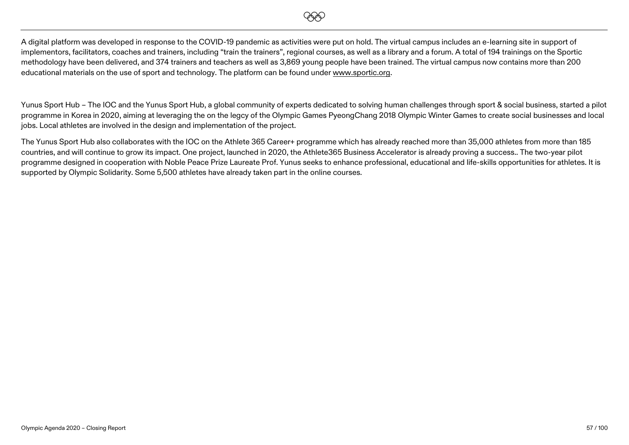

A digital platform was developed in response to the COVID-19 pandemic as activities were put on hold. The virtual campus includes an e-learning site in support of implementors, facilitators, coaches and trainers, including "train the trainers", regional courses, as well as a library and a forum. A total of 194 trainings on the Sportic methodology have been delivered, and 374 trainers and teachers as well as 3,869 young people have been trained. The virtual campus now contains more than 200 educational materials on the use of sport and technology. The platform can be found unde[r www.sportic.org.](http://www.sportic.org/)

Yunus Sport Hub – The IOC and the Yunus Sport Hub, a global community of experts dedicated to solving human challenges through sport & social business, started a pilot programme in Korea in 2020, aiming at leveraging the on the legcy of the Olympic Games PyeongChang 2018 Olympic Winter Games to create social businesses and local jobs. Local athletes are involved in the design and implementation of the project.

The Yunus Sport Hub also collaborates with the IOC on the Athlete 365 Career+ programme which has already reached more than 35,000 athletes from more than 185 countries, and will continue to grow its impact. One project, launched in 2020, the Athlete365 Business Accelerator is already proving a success.. The two-year pilot programme designed in cooperation with Noble Peace Prize Laureate Prof. Yunus seeks to enhance professional, educational and life-skills opportunities for athletes. It is supported by Olympic Solidarity. Some 5,500 athletes have already taken part in the online courses.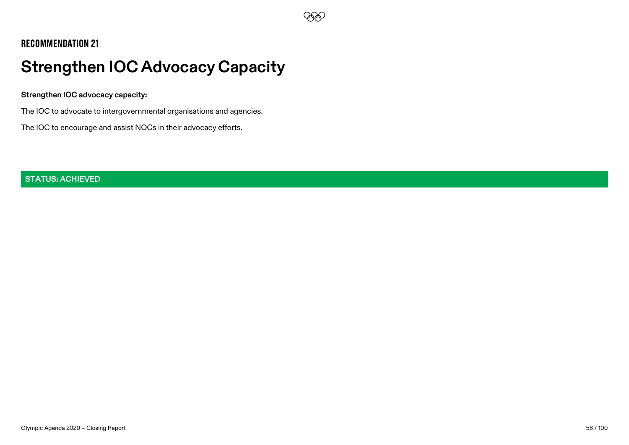

# **Strengthen IOC Advocacy Capacity**

#### **Strengthen IOC advocacy capacity:**

The IOC to advocate to intergovernmental organisations and agencies.

The IOC to encourage and assist NOCs in their advocacy efforts.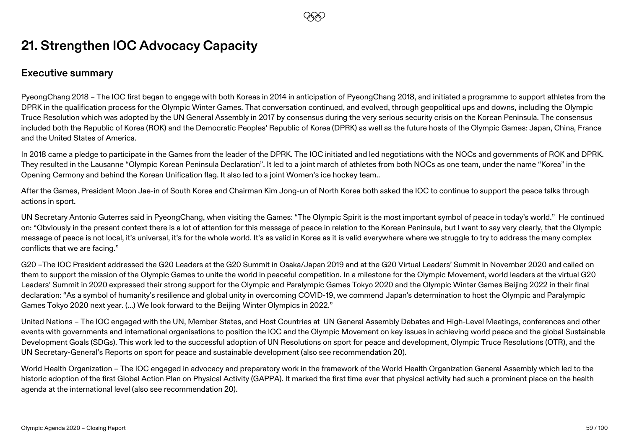# **21. Strengthen IOC Advocacy Capacity**

### **Executive summary**

PyeongChang 2018 – The IOC first began to engage with both Koreas in 2014 in anticipation of PyeongChang 2018, and initiated a programme to support athletes from the DPRK in the qualification process for the Olympic Winter Games. That conversation continued, and evolved, through geopolitical ups and downs, including the Olympic Truce Resolution which was adopted by the UN General Assembly in 2017 by consensus during the very serious security crisis on the Korean Peninsula. The consensus included both the Republic of Korea (ROK) and the Democratic Peoples' Republic of Korea (DPRK) as well as the future hosts of the Olympic Games: Japan, China, France and the United States of America.

In 2018 came a pledge to participate in the Games from the leader of the DPRK. The IOC initiated and led negotiations with the NOCs and governments of ROK and DPRK. They resulted in the Lausanne "Olympic Korean Peninsula Declaration". It led to a joint march of athletes from both NOCs as one team, under the name "Korea" in the Opening Cermony and behind the Korean Unification flag. It also led to a joint Women's ice hockey team..

After the Games, President Moon Jae-in of South Korea and Chairman Kim Jong-un of North Korea both asked the IOC to continue to support the peace talks through actions in sport.

UN Secretary Antonio Guterres said in PyeongChang, when visiting the Games: "The Olympic Spirit is the most important symbol of peace in today's world." He continued on: "Obviously in the present context there is a lot of attention for this message of peace in relation to the Korean Peninsula, but I want to say very clearly, that the Olympic message of peace is not local, it's universal, it's for the whole world. It's as valid in Korea as it is valid everywhere where we struggle to try to address the many complex conflicts that we are facing."

G20 –The IOC President addressed the G20 Leaders at the G20 Summit in Osaka/Japan 2019 and at the G20 Virtual Leaders' Summit in November 2020 and called on them to support the mission of the Olympic Games to unite the world in peaceful competition. In a milestone for the Olympic Movement, world leaders at the virtual G20 Leaders' Summit in 2020 expressed their strong support for the Olympic and Paralympic Games Tokyo 2020 and the Olympic Winter Games Beijing 2022 in their final declaration: "As a symbol of humanity's resilience and global unity in overcoming COVID-19, we commend Japan's determination to host the Olympic and Paralympic Games Tokyo 2020 next year. (…) We look forward to the Beijing Winter Olympics in 2022."

United Nations – The IOC engaged with the UN, Member States, and Host Countries at UN General Assembly Debates and High-Level Meetings, conferences and other events with governments and international organisations to position the IOC and the Olympic Movement on key issues in achieving world peace and the global Sustainable Development Goals (SDGs). This work led to the successful adoption of UN Resolutions on sport for peace and development, Olympic Truce Resolutions (OTR), and the UN Secretary-General's Reports on sport for peace and sustainable development (also see recommendation 20).

World Health Organization – The IOC engaged in advocacy and preparatory work in the framework of the World Health Organization General Assembly which led to the historic adoption of the first Global Action Plan on Physical Activity (GAPPA). It marked the first time ever that physical activity had such a prominent place on the health agenda at the international level (also see recommendation 20).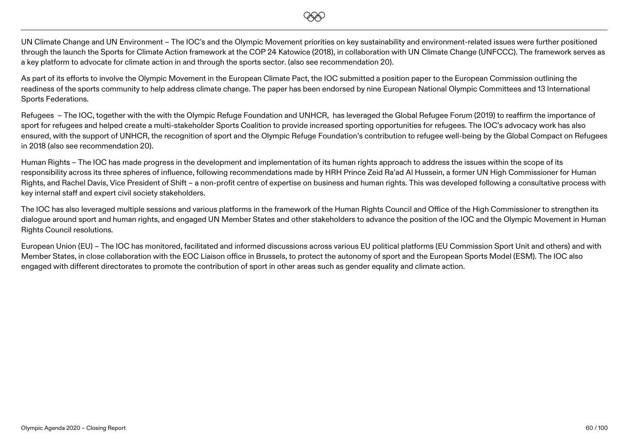**EEO** 

UN Climate Change and UN Environment – The IOC's and the Olympic Movement priorities on key sustainability and environment-related issues were further positioned through the launch the Sports for Climate Action framework at the COP 24 Katowice (2018), in collaboration with UN Climate Change (UNFCCC). The framework serves as a key platform to advocate for climate action in and through the sports sector. (also see recommendation 20).

As part of its efforts to involve the Olympic Movement in the European Climate Pact, the IOC submitted a position paper to the European Commission outlining the readiness of the sports community to help address climate change. The paper has been endorsed by nine European National Olympic Committees and 13 International Sports Federations.

Refugees – The IOC, together with the with the Olympic Refuge Foundation and UNHCR, has leveraged the Global Refugee Forum (2019) to reaffirm the importance of sport for refugees and helped create a multi-stakeholder Sports Coalition to provide increased sporting opportunities for refugees. The IOC's advocacy work has also ensured, with the support of UNHCR, the recognition of sport and the Olympic Refuge Foundation's contribution to refugee well-being by the Global Compact on Refugees in 2018 (also see recommendation 20).

Human Rights – The IOC has made progress in the development and implementation of its human rights approach to address the issues within the scope of its responsibility across its three spheres of influence, following recommendations made by HRH Prince Zeid Ra'ad Al Hussein, a former UN High Commissioner for Human Rights, and Rachel Davis, Vice President of Shift – a non-profit centre of expertise on business and human rights. This was developed following a consultative process with key internal staff and expert civil society stakeholders.

The IOC has also leveraged multiple sessions and various platforms in the framework of the Human Rights Council and Office of the High Commissioner to strengthen its dialogue around sport and human rights, and engaged UN Member States and other stakeholders to advance the position of the IOC and the Olympic Movement in Human Rights Council resolutions.

European Union (EU) – The IOC has monitored, facilitated and informed discussions across various EU political platforms (EU Commission Sport Unit and others) and with Member States, in close collaboration with the EOC Liaison office in Brussels, to protect the autonomy of sport and the European Sports Model (ESM). The IOC also engaged with different directorates to promote the contribution of sport in other areas such as gender equality and climate action.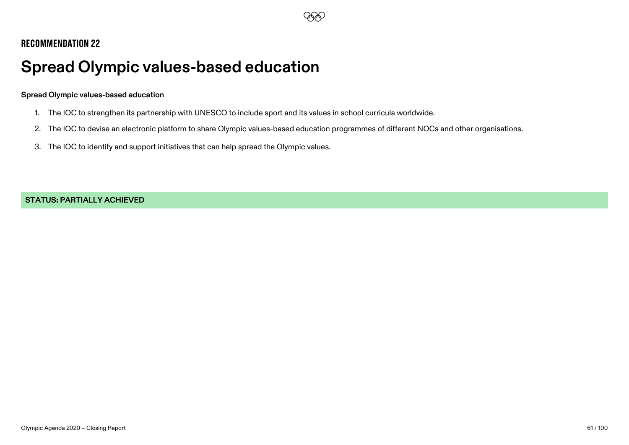

# **Spread Olympic values-based education**

#### **Spread Olympic values-based education**

- 1. The IOC to strengthen its partnership with UNESCO to include sport and its values in school curricula worldwide.
- 2. The IOC to devise an electronic platform to share Olympic values-based education programmes of different NOCs and other organisations.
- 3. The IOC to identify and support initiatives that can help spread the Olympic values.

**STATUS: PARTIALLY ACHIEVED**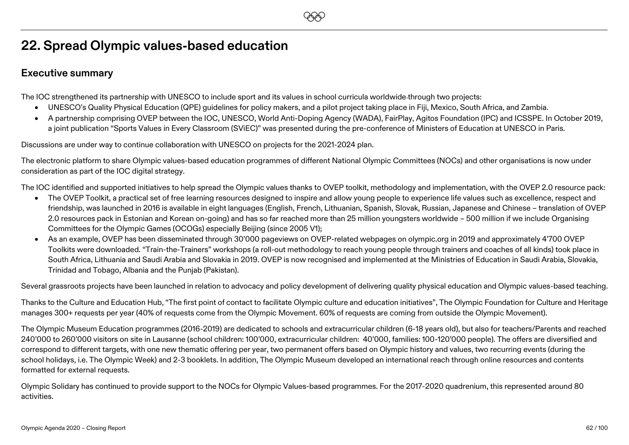# **22. Spread Olympic values-based education**

### **Executive summary**

The IOC strengthened its partnership with UNESCO to include sport and its values in school curricula worldwide through two projects:

- UNESCO's Quality Physical Education (QPE) guidelines for policy makers, and a pilot project taking place in Fiji, Mexico, South Africa, and Zambia.
- A partnership comprising OVEP between the IOC, UNESCO, World Anti-Doping Agency (WADA), FairPlay, Agitos Foundation (IPC) and ICSSPE. In October 2019, a joint publication "Sports Values in Every Classroom (SViEC)" was presented during the pre-conference of Ministers of Education at UNESCO in Paris.

**EEO** 

Discussions are under way to continue collaboration with UNESCO on projects for the 2021-2024 plan.

The electronic platform to share Olympic values-based education programmes of different National Olympic Committees (NOCs) and other organisations is now under consideration as part of the IOC digital strategy.

The IOC identified and supported initiatives to help spread the Olympic values thanks to OVEP toolkit, methodology and implementation, with the OVEP 2.0 resource pack:

- The OVEP Toolkit, a practical set of free learning resources designed to inspire and allow young people to experience life values such as excellence, respect and friendship, was launched in 2016 is available in eight languages (English, French, Lithuanian, Spanish, Slovak, Russian, Japanese and Chinese – translation of OVEP 2.0 resources pack in Estonian and Korean on-going) and has so far reached more than 25 million youngsters worldwide – 500 million if we include Organising Committees for the Olympic Games (OCOGs) especially Beijing (since 2005 V1);
- As an example, OVEP has been disseminated through 30'000 pageviews on OVEP-related webpages on olympic.org in 2019 and approximately 4'700 OVEP Toolkits were downloaded. "Train-the-Trainers" workshops (a roll-out methodology to reach young people through trainers and coaches of all kinds) took place in South Africa, Lithuania and Saudi Arabia and Slovakia in 2019. OVEP is now recognised and implemented at the Ministries of Education in Saudi Arabia, Slovakia, Trinidad and Tobago, Albania and the Punjab (Pakistan).

Several grassroots projects have been launched in relation to advocacy and policy development of delivering quality physical education and Olympic values-based teaching.

Thanks to the Culture and Education Hub, "The first point of contact to facilitate Olympic culture and education initiatives", The Olympic Foundation for Culture and Heritage manages 300+ requests per year (40% of requests come from the Olympic Movement. 60% of requests are coming from outside the Olympic Movement).

The Olympic Museum Education programmes (2016-2019) are dedicated to schools and extracurricular children (6-18 years old), but also for teachers/Parents and reached 240'000 to 260'000 visitors on site in Lausanne (school children: 100'000, extracurricular children: 40'000, families: 100-120'000 people). The offers are diversified and correspond to different targets, with one new thematic offering per year, two permanent offers based on Olympic history and values, two recurring events (during the school holidays, i.e. The Olympic Week) and 2-3 booklets. In addition, The Olympic Museum developed an international reach through online resources and contents formatted for external requests.

Olympic Solidary has continued to provide support to the NOCs for Olympic Values-based programmes. For the 2017-2020 quadrenium, this represented around 80 activities.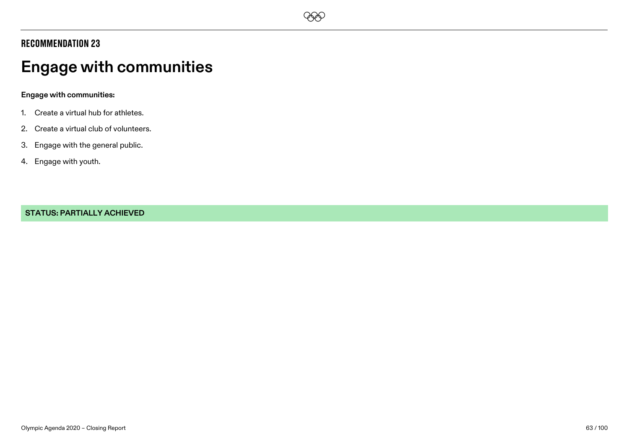

# **Engage with communities**

#### **Engage with communities:**

- 1. Create a virtual hub for athletes.
- 2. Create a virtual club of volunteers.
- 3. Engage with the general public.
- 4. Engage with youth.

#### **STATUS: PARTIALLY ACHIEVED**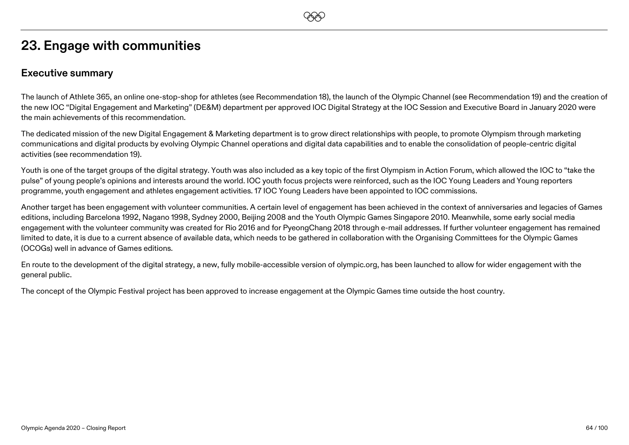# **EEO**

# **23. Engage with communities**

### **Executive summary**

The launch of Athlete 365, an online one-stop-shop for athletes (see Recommendation 18), the launch of the Olympic Channel (see Recommendation 19) and the creation of the new IOC "Digital Engagement and Marketing" (DE&M) department per approved IOC Digital Strategy at the IOC Session and Executive Board in January 2020 were the main achievements of this recommendation.

The dedicated mission of the new Digital Engagement & Marketing department is to grow direct relationships with people, to promote Olympism through marketing communications and digital products by evolving Olympic Channel operations and digital data capabilities and to enable the consolidation of people-centric digital activities (see recommendation 19).

Youth is one of the target groups of the digital strategy. Youth was also included as a key topic of the first Olympism in Action Forum, which allowed the IOC to "take the pulse" of young people's opinions and interests around the world. IOC youth focus projects were reinforced, such as the IOC Young Leaders and Young reporters programme, youth engagement and athletes engagement activities. 17 IOC Young Leaders have been appointed to IOC commissions.

Another target has been engagement with volunteer communities. A certain level of engagement has been achieved in the context of anniversaries and legacies of Games editions, including Barcelona 1992, Nagano 1998, Sydney 2000, Beijing 2008 and the Youth Olympic Games Singapore 2010. Meanwhile, some early social media engagement with the volunteer community was created for Rio 2016 and for PyeongChang 2018 through e-mail addresses. If further volunteer engagement has remained limited to date, it is due to a current absence of available data, which needs to be gathered in collaboration with the Organising Committees for the Olympic Games (OCOGs) well in advance of Games editions.

En route to the development of the digital strategy, a new, fully mobile-accessible version of olympic.org, has been launched to allow for wider engagement with the general public.

The concept of the Olympic Festival project has been approved to increase engagement at the Olympic Games time outside the host country.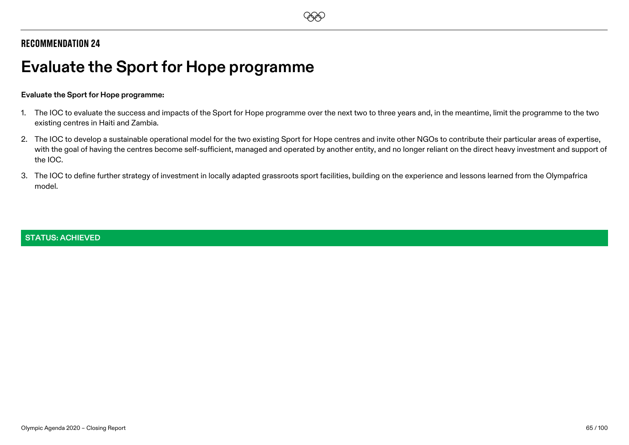

# **Evaluate the Sport for Hope programme**

#### **Evaluate the Sport for Hope programme:**

- 1. The IOC to evaluate the success and impacts of the Sport for Hope programme over the next two to three years and, in the meantime, limit the programme to the two existing centres in Haiti and Zambia.
- 2. The IOC to develop a sustainable operational model for the two existing Sport for Hope centres and invite other NGOs to contribute their particular areas of expertise, with the goal of having the centres become self-sufficient, managed and operated by another entity, and no longer reliant on the direct heavy investment and support of the IOC.
- 3. The IOC to define further strategy of investment in locally adapted grassroots sport facilities, building on the experience and lessons learned from the Olympafrica model.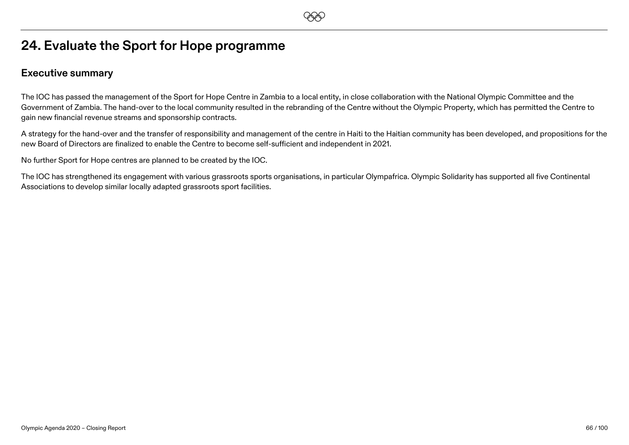# **24. Evaluate the Sport for Hope programme**

### **Executive summary**

The IOC has passed the management of the Sport for Hope Centre in Zambia to a local entity, in close collaboration with the National Olympic Committee and the Government of Zambia. The hand-over to the local community resulted in the rebranding of the Centre without the Olympic Property, which has permitted the Centre to gain new financial revenue streams and sponsorship contracts.

A strategy for the hand-over and the transfer of responsibility and management of the centre in Haiti to the Haitian community has been developed, and propositions for the new Board of Directors are finalized to enable the Centre to become self-sufficient and independent in 2021.

No further Sport for Hope centres are planned to be created by the IOC.

The IOC has strengthened its engagement with various grassroots sports organisations, in particular Olympafrica. Olympic Solidarity has supported all five Continental Associations to develop similar locally adapted grassroots sport facilities.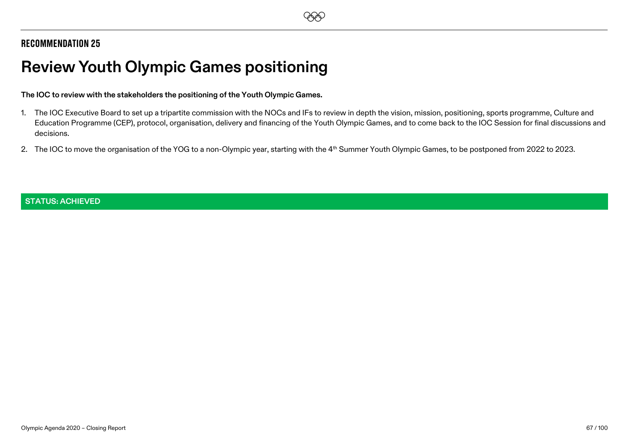# **Review Youth Olympic Games positioning**

#### **The IOC to review with the stakeholders the positioning of the Youth Olympic Games.**

- 1. The IOC Executive Board to set up a tripartite commission with the NOCs and IFs to review in depth the vision, mission, positioning, sports programme, Culture and Education Programme (CEP), protocol, organisation, delivery and financing of the Youth Olympic Games, and to come back to the IOC Session for final discussions and decisions.
- 2. The IOC to move the organisation of the YOG to a non-Olympic year, starting with the 4<sup>th</sup> Summer Youth Olympic Games, to be postponed from 2022 to 2023.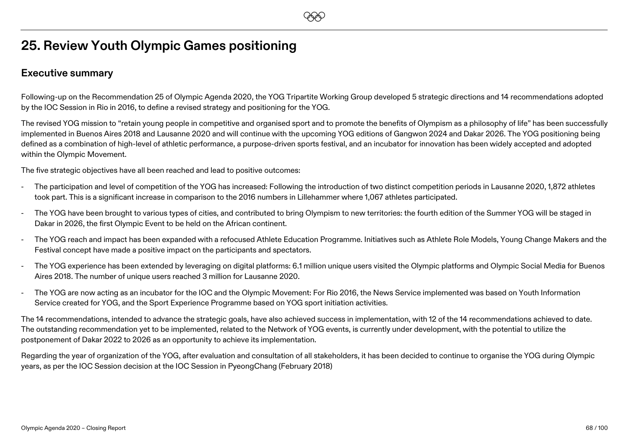## **25. Review Youth Olympic Games positioning**

### **Executive summary**

Following-up on the Recommendation 25 of Olympic Agenda 2020, the YOG Tripartite Working Group developed 5 strategic directions and 14 recommendations adopted by the IOC Session in Rio in 2016, to define a revised strategy and positioning for the YOG.

The revised YOG mission to "retain young people in competitive and organised sport and to promote the benefits of Olympism as a philosophy of life" has been successfully implemented in Buenos Aires 2018 and Lausanne 2020 and will continue with the upcoming YOG editions of Gangwon 2024 and Dakar 2026. The YOG positioning being defined as a combination of high-level of athletic performance, a purpose-driven sports festival, and an incubator for innovation has been widely accepted and adopted within the Olympic Movement.

The five strategic objectives have all been reached and lead to positive outcomes:

- The participation and level of competition of the YOG has increased: Following the introduction of two distinct competition periods in Lausanne 2020, 1,872 athletes took part. This is a significant increase in comparison to the 2016 numbers in Lillehammer where 1,067 athletes participated.
- The YOG have been brought to various types of cities, and contributed to bring Olympism to new territories: the fourth edition of the Summer YOG will be staged in Dakar in 2026, the first Olympic Event to be held on the African continent.
- The YOG reach and impact has been expanded with a refocused Athlete Education Programme. Initiatives such as Athlete Role Models, Young Change Makers and the Festival concept have made a positive impact on the participants and spectators.
- The YOG experience has been extended by leveraging on digital platforms: 6.1 million unique users visited the Olympic platforms and Olympic Social Media for Buenos Aires 2018. The number of unique users reached 3 million for Lausanne 2020.
- The YOG are now acting as an incubator for the IOC and the Olympic Movement: For Rio 2016, the News Service implemented was based on Youth Information Service created for YOG, and the Sport Experience Programme based on YOG sport initiation activities.

The 14 recommendations, intended to advance the strategic goals, have also achieved success in implementation, with 12 of the 14 recommendations achieved to date. The outstanding recommendation yet to be implemented, related to the Network of YOG events, is currently under development, with the potential to utilize the postponement of Dakar 2022 to 2026 as an opportunity to achieve its implementation.

Regarding the year of organization of the YOG, after evaluation and consultation of all stakeholders, it has been decided to continue to organise the YOG during Olympic years, as per the IOC Session decision at the IOC Session in PyeongChang (February 2018)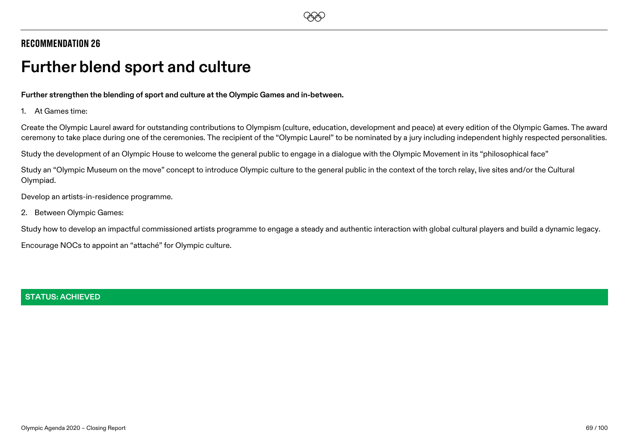# **Further blend sport and culture**

**Further strengthen the blending of sport and culture at the Olympic Games and in-between.**

1. At Games time:

Create the Olympic Laurel award for outstanding contributions to Olympism (culture, education, development and peace) at every edition of the Olympic Games. The award ceremony to take place during one of the ceremonies. The recipient of the "Olympic Laurel" to be nominated by a jury including independent highly respected personalities.

Study the development of an Olympic House to welcome the general public to engage in a dialogue with the Olympic Movement in its "philosophical face"

Study an "Olympic Museum on the move" concept to introduce Olympic culture to the general public in the context of the torch relay, live sites and/or the Cultural Olympiad.

Develop an artists-in-residence programme.

2. Between Olympic Games:

Study how to develop an impactful commissioned artists programme to engage a steady and authentic interaction with global cultural players and build a dynamic legacy.

Encourage NOCs to appoint an "attaché" for Olympic culture.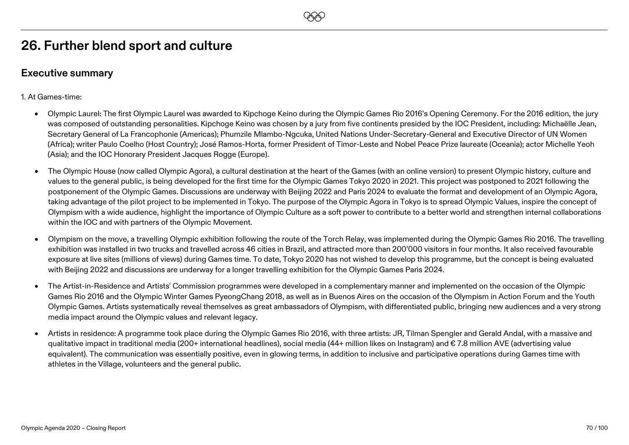### **Executive summary**

1. At Games-time:

• Olympic Laurel: The first Olympic Laurel was awarded to Kipchoge Keino during the Olympic Games Rio 2016's Opening Ceremony. For the 2016 edition, the jury was composed of outstanding personalities. Kipchoge Keino was chosen by a jury from five continents presided by the IOC President, including: Michaëlle Jean, Secretary General of La Francophonie (Americas); Phumzile Mlambo-Ngcuka, United Nations Under-Secretary-General and Executive Director of UN Women (Africa); writer Paulo Coelho (Host Country); José Ramos-Horta, former President of Timor-Leste and Nobel Peace Prize laureate (Oceania); actor Michelle Yeoh (Asia); and the IOC Honorary President Jacques Rogge (Europe).

**EEO** 

- The Olympic House (now called Olympic Agora), a cultural destination at the heart of the Games (with an online version) to present Olympic history, culture and values to the general public, is being developed for the first time for the Olympic Games Tokyo 2020 in 2021. This project was postponed to 2021 following the postponement of the Olympic Games. Discussions are underway with Beijing 2022 and Paris 2024 to evaluate the format and development of an Olympic Agora, taking advantage of the pilot project to be implemented in Tokyo. The purpose of the Olympic Agora in Tokyo is to spread Olympic Values, inspire the concept of Olympism with a wide audience, highlight the importance of Olympic Culture as a soft power to contribute to a better world and strengthen internal collaborations within the IOC and with partners of the Olympic Movement.
- Olympism on the move, a travelling Olympic exhibition following the route of the Torch Relay, was implemented during the Olympic Games Rio 2016. The travelling exhibition was installed in two trucks and travelled across 46 cities in Brazil, and attracted more than 200'000 visitors in four months. It also received favourable exposure at live sites (millions of views) during Games time. To date, Tokyo 2020 has not wished to develop this programme, but the concept is being evaluated with Beijing 2022 and discussions are underway for a longer travelling exhibition for the Olympic Games Paris 2024.
- The Artist-in-Residence and Artists' Commission programmes were developed in a complementary manner and implemented on the occasion of the Olympic Games Rio 2016 and the Olympic Winter Games PyeongChang 2018, as well as in Buenos Aires on the occasion of the Olympism in Action Forum and the Youth Olympic Games. Artists systematically reveal themselves as great ambassadors of Olympism, with differentiated public, bringing new audiences and a very strong media impact around the Olympic values and relevant legacy.
- Artists in residence: A programme took place during the Olympic Games Rio 2016, with three artists: JR, Tilman Spengler and Gerald Andal, with a massive and qualitative impact in traditional media (200+ international headlines), social media (44+ million likes on Instagram) and € 7.8 million AVE (advertising value equivalent). The communication was essentially positive, even in glowing terms, in addition to inclusive and participative operations during Games time with athletes in the Village, volunteers and the general public.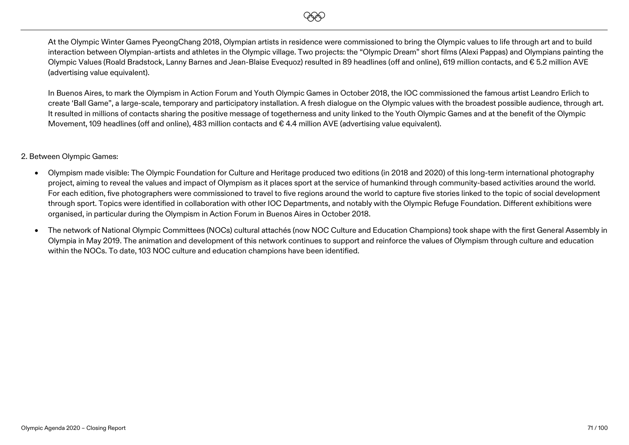

At the Olympic Winter Games PyeongChang 2018, Olympian artists in residence were commissioned to bring the Olympic values to life through art and to build interaction between Olympian-artists and athletes in the Olympic village. Two projects: the "Olympic Dream" short films (Alexi Pappas) and Olympians painting the Olympic Values (Roald Bradstock, Lanny Barnes and Jean-Blaise Evequoz) resulted in 89 headlines (off and online), 619 million contacts, and € 5.2 million AVE (advertising value equivalent).

In Buenos Aires, to mark the Olympism in Action Forum and Youth Olympic Games in October 2018, the IOC commissioned the famous artist Leandro Erlich to create 'Ball Game", a large-scale, temporary and participatory installation. A fresh dialogue on the Olympic values with the broadest possible audience, through art. It resulted in millions of contacts sharing the positive message of togetherness and unity linked to the Youth Olympic Games and at the benefit of the Olympic Movement, 109 headlines (off and online), 483 million contacts and € 4.4 million AVE (advertising value equivalent).

#### 2. Between Olympic Games:

- Olympism made visible: The Olympic Foundation for Culture and Heritage produced two editions (in 2018 and 2020) of this long-term international photography project, aiming to reveal the values and impact of Olympism as it places sport at the service of humankind through community-based activities around the world. For each edition, five photographers were commissioned to travel to five regions around the world to capture five stories linked to the topic of social development through sport. Topics were identified in collaboration with other IOC Departments, and notably with the Olympic Refuge Foundation. Different exhibitions were organised, in particular during the Olympism in Action Forum in Buenos Aires in October 2018.
- The network of National Olympic Committees (NOCs) cultural attachés (now NOC Culture and Education Champions) took shape with the first General Assembly in Olympia in May 2019. The animation and development of this network continues to support and reinforce the values of Olympism through culture and education within the NOCs. To date, 103 NOC culture and education champions have been identified.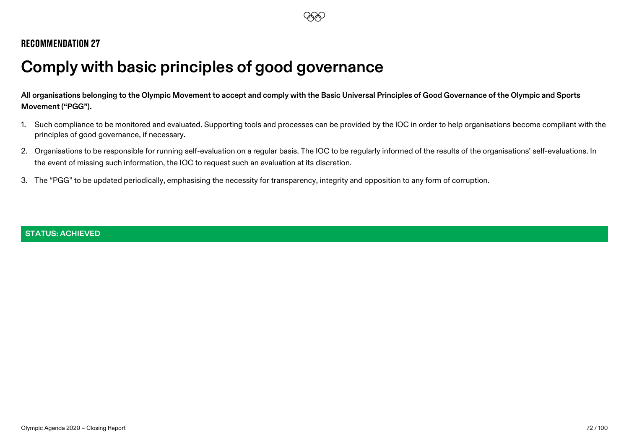# **Comply with basic principles of good governance**

**All organisations belonging to the Olympic Movement to accept and comply with the Basic Universal Principles of Good Governance of the Olympic and Sports Movement ("PGG").**

- 1. Such compliance to be monitored and evaluated. Supporting tools and processes can be provided by the IOC in order to help organisations become compliant with the principles of good governance, if necessary.
- 2. Organisations to be responsible for running self-evaluation on a regular basis. The IOC to be regularly informed of the results of the organisations' self-evaluations. In the event of missing such information, the IOC to request such an evaluation at its discretion.
- 3. The "PGG" to be updated periodically, emphasising the necessity for transparency, integrity and opposition to any form of corruption.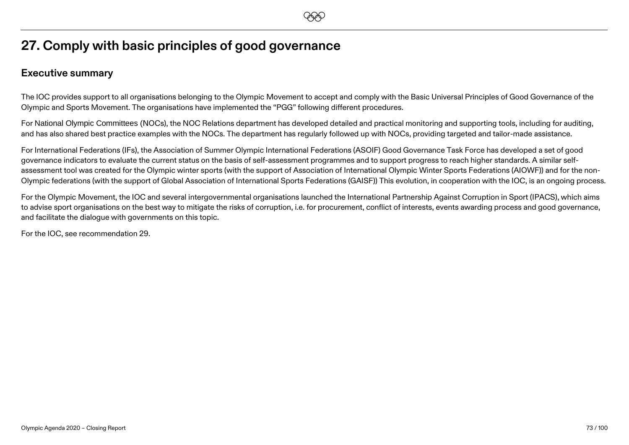## **27. Comply with basic principles of good governance**

### **Executive summary**

The IOC provides support to all organisations belonging to the Olympic Movement to accept and comply with the Basic Universal Principles of Good Governance of the Olympic and Sports Movement. The organisations have implemented the "PGG" following different procedures.

**EEO** 

For National Olympic Committees (NOCs), the NOC Relations department has developed detailed and practical monitoring and supporting tools, including for auditing, and has also shared best practice examples with the NOCs. The department has regularly followed up with NOCs, providing targeted and tailor-made assistance.

For International Federations (IFs), the Association of Summer Olympic International Federations (ASOIF) Good Governance Task Force has developed a set of good governance indicators to evaluate the current status on the basis of self-assessment programmes and to support progress to reach higher standards. A similar selfassessment tool was created for the Olympic winter sports (with the support of Association of International Olympic Winter Sports Federations (AIOWF)) and for the non-Olympic federations (with the support of Global Association of International Sports Federations (GAISF)) This evolution, in cooperation with the IOC, is an ongoing process.

For the Olympic Movement, the IOC and several intergovernmental organisations launched the International Partnership Against Corruption in Sport (IPACS), which aims to advise sport organisations on the best way to mitigate the risks of corruption, i.e. for procurement, conflict of interests, events awarding process and good governance, and facilitate the dialogue with governments on this topic.

For the IOC, see recommendation 29.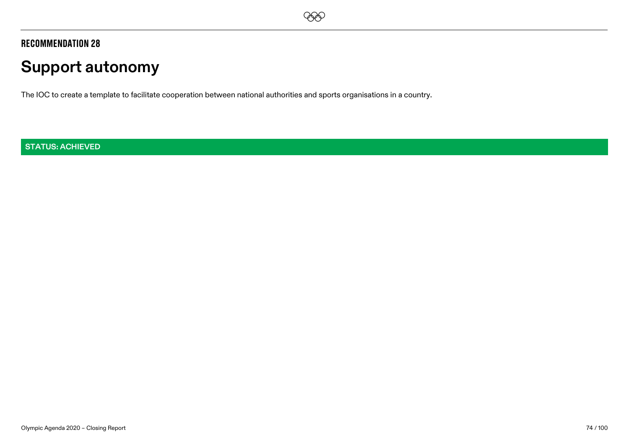

# **Support autonomy**

The IOC to create a template to facilitate cooperation between national authorities and sports organisations in a country.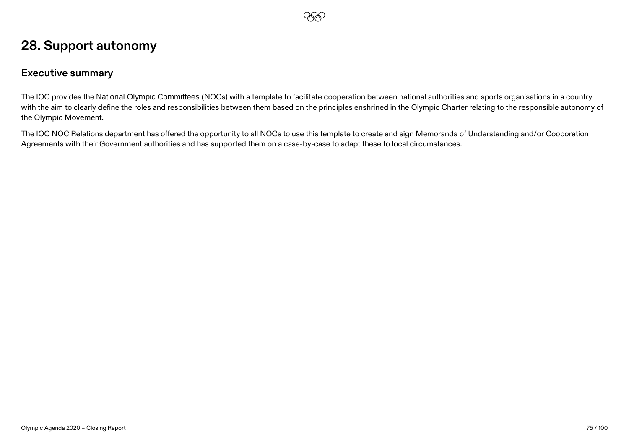## **28. Support autonomy**

### **Executive summary**

The IOC provides the National Olympic Committees (NOCs) with a template to facilitate cooperation between national authorities and sports organisations in a country with the aim to clearly define the roles and responsibilities between them based on the principles enshrined in the Olympic Charter relating to the responsible autonomy of the Olympic Movement.

**EEO** 

The IOC NOC Relations department has offered the opportunity to all NOCs to use this template to create and sign Memoranda of Understanding and/or Cooporation Agreements with their Government authorities and has supported them on a case-by-case to adapt these to local circumstances.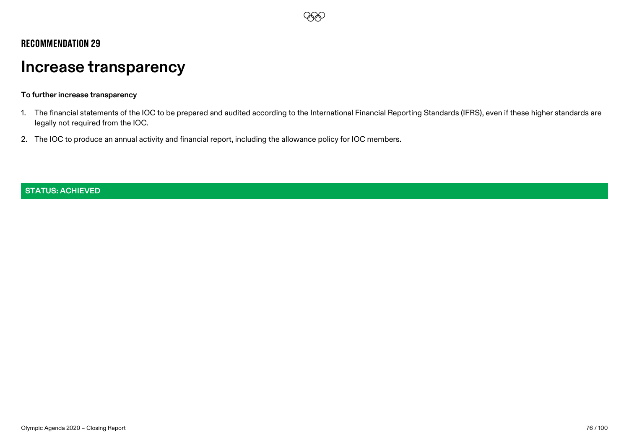## **EEO**

### Recommendation 29

# **Increase transparency**

#### **To further increase transparency**

- 1. The financial statements of the IOC to be prepared and audited according to the International Financial Reporting Standards (IFRS), even if these higher standards are legally not required from the IOC.
- 2. The IOC to produce an annual activity and financial report, including the allowance policy for IOC members.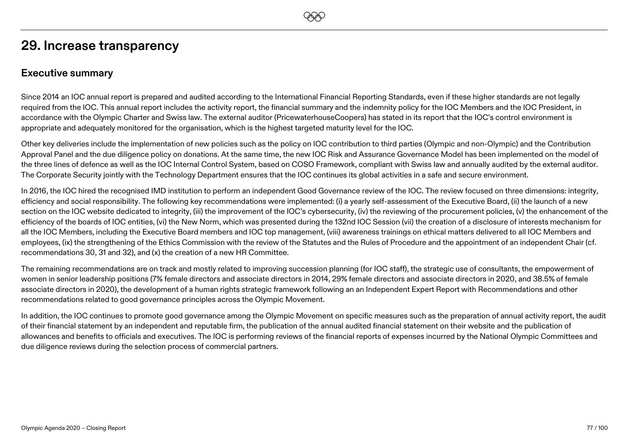## **29. Increase transparency**

### **Executive summary**

Since 2014 an IOC annual report is prepared and audited according to the International Financial Reporting Standards, even if these higher standards are not legally required from the IOC. This annual report includes the activity report, the financial summary and the indemnity policy for the IOC Members and the IOC President, in accordance with the Olympic Charter and Swiss law. The external auditor (PricewaterhouseCoopers) has stated in its report that the IOC's control environment is appropriate and adequately monitored for the organisation, which is the highest targeted maturity level for the IOC.

**EEO** 

Other key deliveries include the implementation of new policies such as the policy on IOC contribution to third parties (Olympic and non-Olympic) and the Contribution Approval Panel and the due diligence policy on donations. At the same time, the new IOC Risk and Assurance Governance Model has been implemented on the model of the three lines of defence as well as the IOC Internal Control System, based on COSO Framework, compliant with Swiss law and annually audited by the external auditor. The Corporate Security jointly with the Technology Department ensures that the IOC continues its global activities in a safe and secure environment.

In 2016, the IOC hired the recognised IMD institution to perform an independent Good Governance review of the IOC. The review focused on three dimensions: integrity, efficiency and social responsibility. The following key recommendations were implemented: (i) a yearly self-assessment of the Executive Board, (ii) the launch of a new section on the IOC website dedicated to integrity, (iii) the improvement of the IOC's cybersecurity, (iv) the reviewing of the procurement policies, (y) the enhancement of the efficiency of the boards of IOC entities, (vi) the New Norm, which was presented during the 132nd IOC Session (vii) the creation of a disclosure of interests mechanism for all the IOC Members, including the Executive Board members and IOC top management, (viii) awareness trainings on ethical matters delivered to all IOC Members and employees, (ix) the strengthening of the Ethics Commission with the review of the Statutes and the Rules of Procedure and the appointment of an independent Chair (cf. recommendations 30, 31 and 32), and (x) the creation of a new HR Committee.

The remaining recommendations are on track and mostly related to improving succession planning (for IOC staff), the strategic use of consultants, the empowerment of women in senior leadership positions (7% female directors and associate directors in 2014, 29% female directors and associate directors in 2020, and 38.5% of female associate directors in 2020), the development of a human rights strategic framework following an an Independent Expert Report with Recommendations and other recommendations related to good governance principles across the Olympic Movement.

In addition, the IOC continues to promote good governance among the Olympic Movement on specific measures such as the preparation of annual activity report, the audit of their financial statement by an independent and reputable firm, the publication of the annual audited financial statement on their website and the publication of allowances and benefits to officials and executives. The IOC is performing reviews of the financial reports of expenses incurred by the National Olympic Committees and due diligence reviews during the selection process of commercial partners.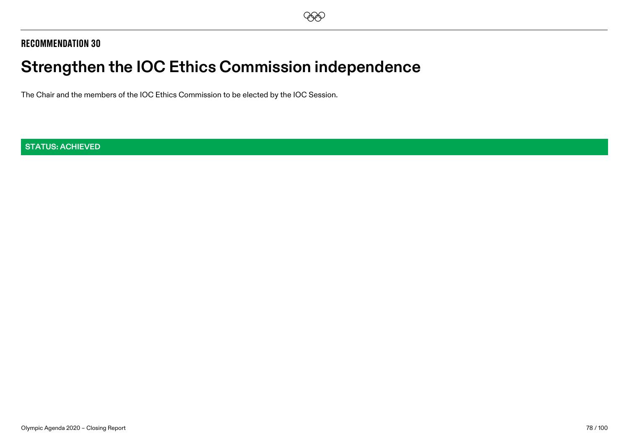# **Strengthen the IOC Ethics Commission independence**

The Chair and the members of the IOC Ethics Commission to be elected by the IOC Session.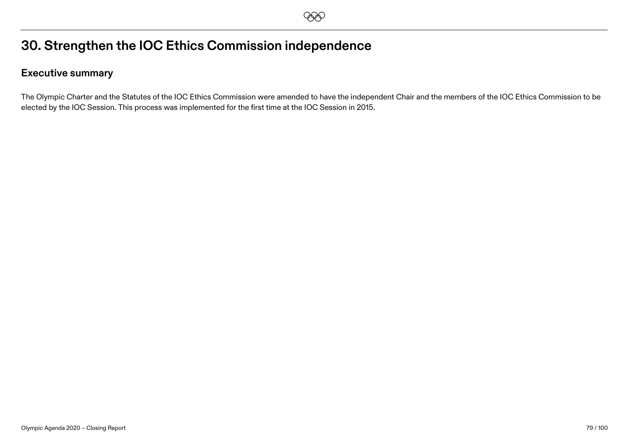## **30. Strengthen the IOC Ethics Commission independence**

### **Executive summary**

The Olympic Charter and the Statutes of the IOC Ethics Commission were amended to have the independent Chair and the members of the IOC Ethics Commission to be elected by the IOC Session. This process was implemented for the first time at the IOC Session in 2015.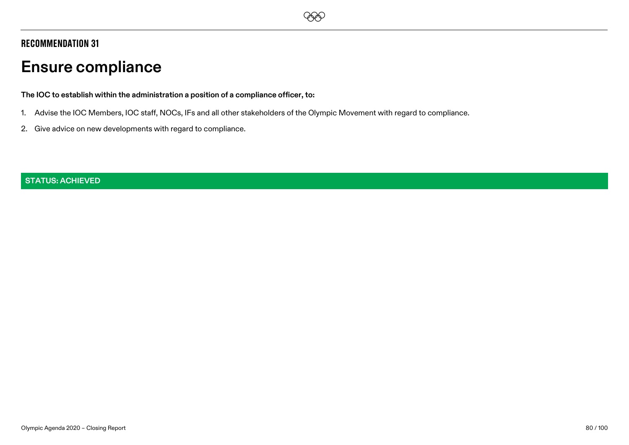# **Ensure compliance**

**The IOC to establish within the administration a position of a compliance officer, to:**

1. Advise the IOC Members, IOC staff, NOCs, IFs and all other stakeholders of the Olympic Movement with regard to compliance.

**EEO** 

2. Give advice on new developments with regard to compliance.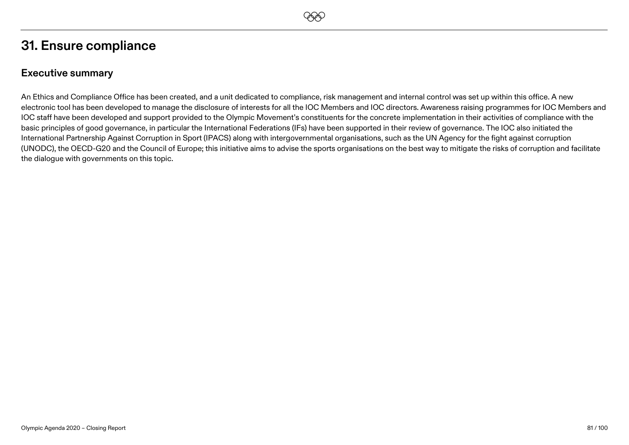## **31. Ensure compliance**

### **Executive summary**

An Ethics and Compliance Office has been created, and a unit dedicated to compliance, risk management and internal control was set up within this office. A new electronic tool has been developed to manage the disclosure of interests for all the IOC Members and IOC directors. Awareness raising programmes for IOC Members and IOC staff have been developed and support provided to the Olympic Movement's constituents for the concrete implementation in their activities of compliance with the basic principles of good governance, in particular the International Federations (IFs) have been supported in their review of governance. The IOC also initiated the International Partnership Against Corruption in Sport (IPACS) along with intergovernmental organisations, such as the UN Agency for the fight against corruption (UNODC), the OECD-G20 and the Council of Europe; this initiative aims to advise the sports organisations on the best way to mitigate the risks of corruption and facilitate the dialogue with governments on this topic.

**EEO**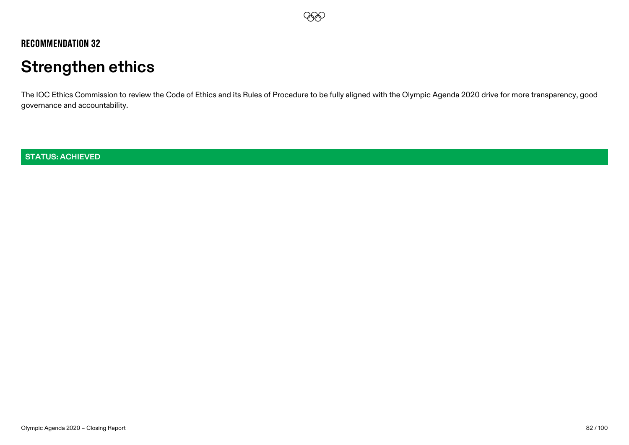## **EEO**

### Recommendation 32

# **Strengthen ethics**

The IOC Ethics Commission to review the Code of Ethics and its Rules of Procedure to be fully aligned with the Olympic Agenda 2020 drive for more transparency, good governance and accountability.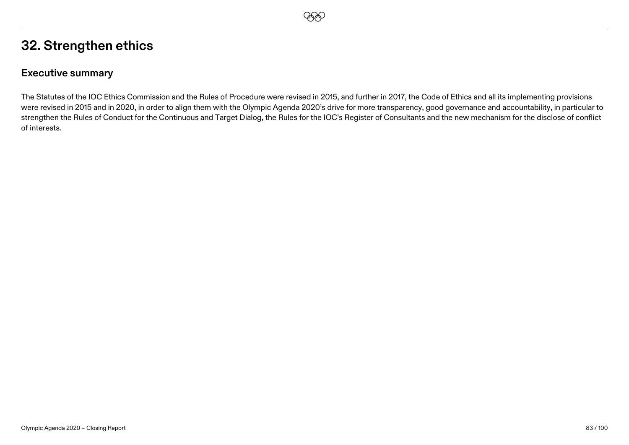## **32. Strengthen ethics**

### **Executive summary**

The Statutes of the IOC Ethics Commission and the Rules of Procedure were revised in 2015, and further in 2017, the Code of Ethics and all its implementing provisions were revised in 2015 and in 2020, in order to align them with the Olympic Agenda 2020's drive for more transparency, good governance and accountability, in particular to strengthen the Rules of Conduct for the Continuous and Target Dialog, the Rules for the IOC's Register of Consultants and the new mechanism for the disclose of conflict of interests.

**EEO**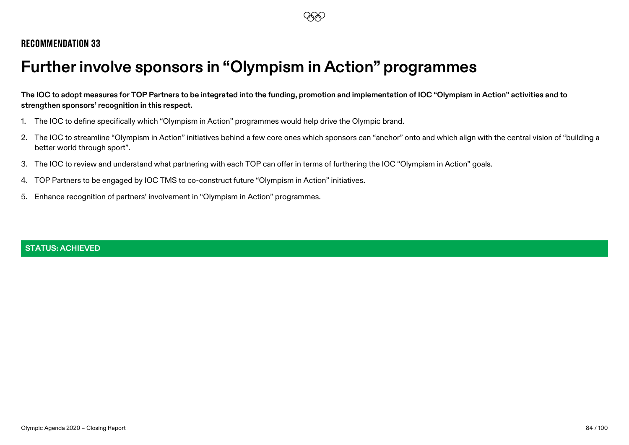# **Further involve sponsors in "Olympism in Action" programmes**

**The IOC to adopt measures for TOP Partners to be integrated into the funding, promotion and implementation of IOC "Olympism in Action" activities and to strengthen sponsors' recognition in this respect.**

- 1. The IOC to define specifically which "Olympism in Action" programmes would help drive the Olympic brand.
- 2. The IOC to streamline "Olympism in Action" initiatives behind a few core ones which sponsors can "anchor" onto and which align with the central vision of "building a better world through sport".
- 3. The IOC to review and understand what partnering with each TOP can offer in terms of furthering the IOC "Olympism in Action" goals.
- 4. TOP Partners to be engaged by IOC TMS to co-construct future "Olympism in Action" initiatives.
- 5. Enhance recognition of partners' involvement in "Olympism in Action" programmes.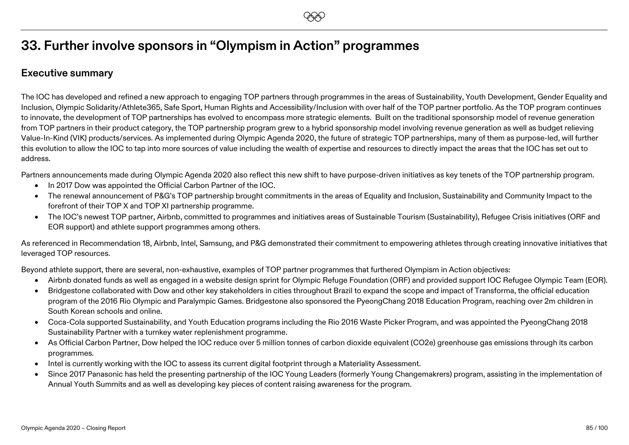## **33. Further involve sponsors in "Olympism in Action" programmes**

### **Executive summary**

The IOC has developed and refined a new approach to engaging TOP partners through programmes in the areas of Sustainability, Youth Development, Gender Equality and Inclusion, Olympic Solidarity/Athlete365, Safe Sport, Human Rights and Accessibility/Inclusion with over half of the TOP partner portfolio. As the TOP program continues to innovate, the development of TOP partnerships has evolved to encompass more strategic elements. Built on the traditional sponsorship model of revenue generation from TOP partners in their product category, the TOP partnership program grew to a hybrid sponsorship model involving revenue generation as well as budget relieving Value-In-Kind (VIK) products/services. As implemented during Olympic Agenda 2020, the future of strategic TOP partnerships, many of them as purpose-led, will further this evolution to allow the IOC to tap into more sources of value including the wealth of expertise and resources to directly impact the areas that the IOC has set out to address.

Partners announcements made during Olympic Agenda 2020 also reflect this new shift to have purpose-driven initiatives as key tenets of the TOP partnership program.

- In 2017 Dow was appointed the Official Carbon Partner of the IOC.
- The renewal announcement of P&G's TOP partnership brought commitments in the areas of Equality and Inclusion, Sustainability and Community Impact to the forefront of their TOP X and TOP XI partnership programme.
- The IOC's newest TOP partner, Airbnb, committed to programmes and initiatives areas of Sustainable Tourism (Sustainability), Refugee Crisis initiatives (ORF and EOR support) and athlete support programmes among others.

As referenced in Recommendation 18, Airbnb, Intel, Samsung, and P&G demonstrated their commitment to empowering athletes through creating innovative initiatives that leveraged TOP resources.

Beyond athlete support, there are several, non-exhaustive, examples of TOP partner programmes that furthered Olympism in Action objectives:

- Airbnb donated funds as well as engaged in a website design sprint for Olympic Refuge Foundation (ORF) and provided support IOC Refugee Olympic Team (EOR).
- Bridgestone collaborated with Dow and other key stakeholders in cities throughout Brazil to expand the scope and impact of Transforma, the official education program of the 2016 Rio Olympic and Paralympic Games. Bridgestone also sponsored the PyeongChang 2018 Education Program, reaching over 2m children in South Korean schools and online.
- Coca-Cola supported Sustainability, and Youth Education programs including the Rio 2016 Waste Picker Program, and was appointed the PyeongChang 2018 Sustainability Partner with a turnkey water replenishment programme.
- As Official Carbon Partner, Dow helped the IOC reduce over 5 million tonnes of carbon dioxide equivalent (CO2e) greenhouse gas emissions through its carbon programmes.
- Intel is currently working with the IOC to assess its current digital footprint through a Materiality Assessment.
- Since 2017 Panasonic has held the presenting partnership of the IOC Young Leaders (formerly Young Changemakrers) program, assisting in the implementation of Annual Youth Summits and as well as developing key pieces of content raising awareness for the program.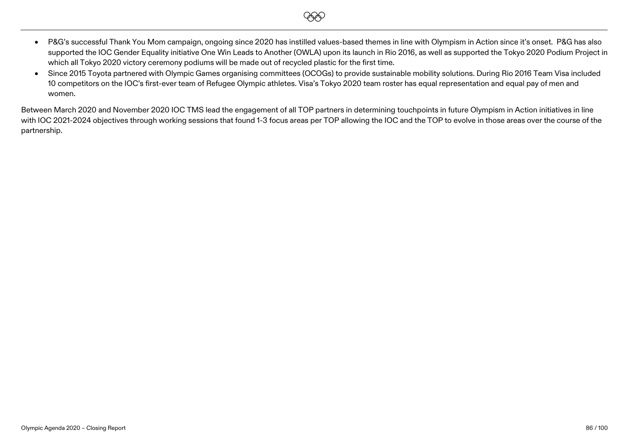• P&G's successful Thank You Mom campaign, ongoing since 2020 has instilled values-based themes in line with Olympism in Action since it's onset. P&G has also supported the IOC Gender Equality initiative One Win Leads to Another (OWLA) upon its launch in Rio 2016, as well as supported the Tokyo 2020 Podium Project in which all Tokyo 2020 victory ceremony podiums will be made out of recycled plastic for the first time.

**EEO** 

• Since 2015 Toyota partnered with Olympic Games organising committees (OCOGs) to provide sustainable mobility solutions. During Rio 2016 Team Visa included 10 competitors on the IOC's first-ever team of Refugee Olympic athletes. Visa's Tokyo 2020 team roster has equal representation and equal pay of men and women.

Between March 2020 and November 2020 IOC TMS lead the engagement of all TOP partners in determining touchpoints in future Olympism in Action initiatives in line with IOC 2021-2024 objectives through working sessions that found 1-3 focus areas per TOP allowing the IOC and the TOP to evolve in those areas over the course of the partnership.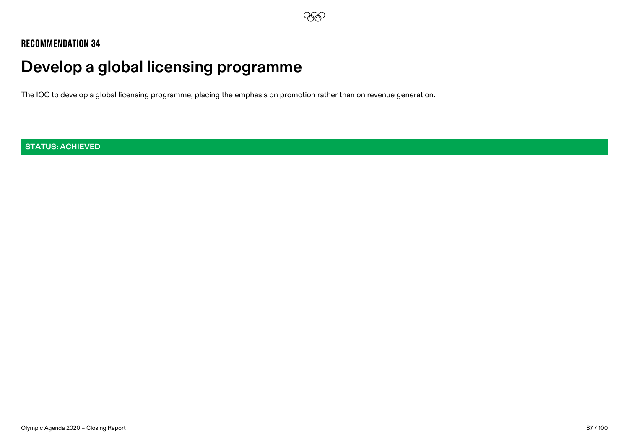

# **Develop a global licensing programme**

The IOC to develop a global licensing programme, placing the emphasis on promotion rather than on revenue generation.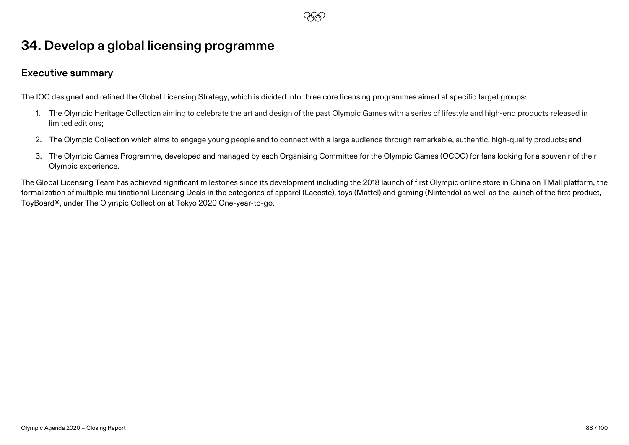## **34. Develop a global licensing programme**

### **Executive summary**

The IOC designed and refined the Global Licensing Strategy, which is divided into three core licensing programmes aimed at specific target groups:

1. The Olympic Heritage Collection aiming to celebrate the art and design of the past Olympic Games with a series of lifestyle and high-end products released in limited editions;

**EEO** 

- 2. The Olympic Collection which aims to engage young people and to connect with a large audience through remarkable, authentic, high-quality products; and
- 3. The Olympic Games Programme, developed and managed by each Organising Committee for the Olympic Games (OCOG) for fans looking for a souvenir of their Olympic experience.

The Global Licensing Team has achieved significant milestones since its development including the 2018 launch of first Olympic online store in China on TMall platform, the formalization of multiple multinational Licensing Deals in the categories of apparel (Lacoste), toys (Mattel) and gaming (Nintendo) as well as the launch of the first product, ToyBoard®, under The Olympic Collection at Tokyo 2020 One-year-to-go.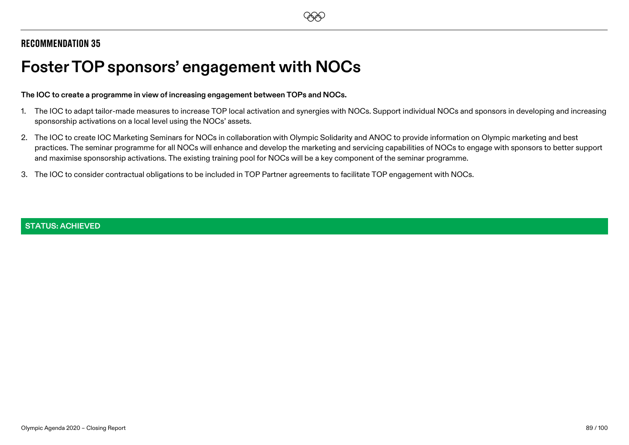# **Foster TOP sponsors' engagement with NOCs**

#### **The IOC to create a programme in view of increasing engagement between TOPs and NOCs.**

- 1. The IOC to adapt tailor-made measures to increase TOP local activation and synergies with NOCs. Support individual NOCs and sponsors in developing and increasing sponsorship activations on a local level using the NOCs' assets.
- 2. The IOC to create IOC Marketing Seminars for NOCs in collaboration with Olympic Solidarity and ANOC to provide information on Olympic marketing and best practices. The seminar programme for all NOCs will enhance and develop the marketing and servicing capabilities of NOCs to engage with sponsors to better support and maximise sponsorship activations. The existing training pool for NOCs will be a key component of the seminar programme.
- 3. The IOC to consider contractual obligations to be included in TOP Partner agreements to facilitate TOP engagement with NOCs.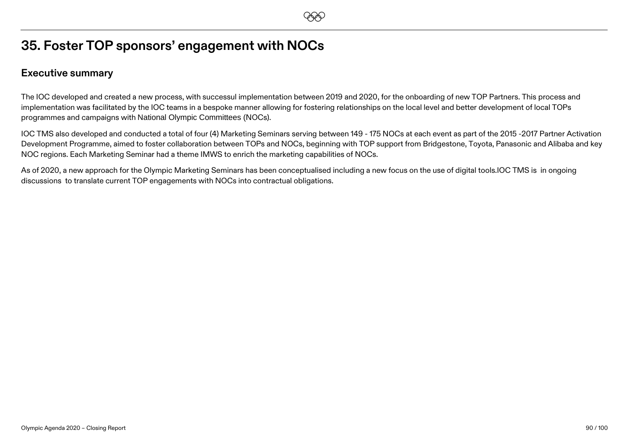## **35. Foster TOP sponsors' engagement with NOCs**

### **Executive summary**

The IOC developed and created a new process, with successul implementation between 2019 and 2020, for the onboarding of new TOP Partners. This process and implementation was facilitated by the IOC teams in a bespoke manner allowing for fostering relationships on the local level and better development of local TOPs programmes and campaigns with National Olympic Committees (NOCs).

IOC TMS also developed and conducted a total of four (4) Marketing Seminars serving between 149 - 175 NOCs at each event as part of the 2015 -2017 Partner Activation Development Programme, aimed to foster collaboration between TOPs and NOCs, beginning with TOP support from Bridgestone, Toyota, Panasonic and Alibaba and key NOC regions. Each Marketing Seminar had a theme IMWS to enrich the marketing capabilities of NOCs.

**EEO** 

As of 2020, a new approach for the Olympic Marketing Seminars has been conceptualised including a new focus on the use of digital tools.IOC TMS is in ongoing discussions to translate current TOP engagements with NOCs into contractual obligations.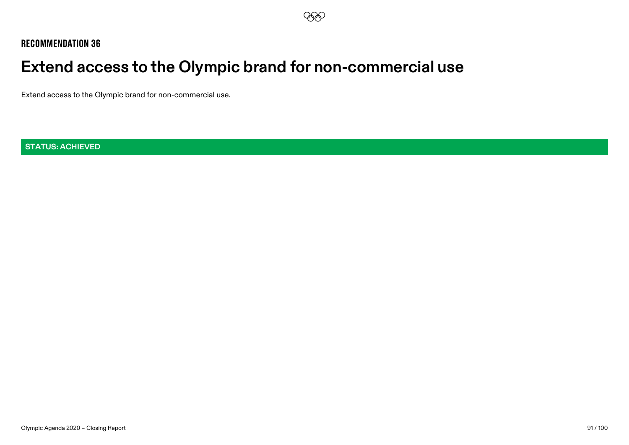# **Extend access to the Olympic brand for non-commercial use**

Extend access to the Olympic brand for non-commercial use.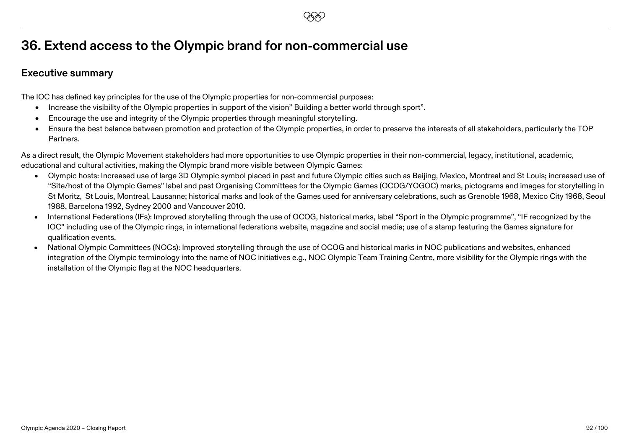## **36. Extend access to the Olympic brand for non-commercial use**

### **Executive summary**

The IOC has defined key principles for the use of the Olympic properties for non-commercial purposes:

- Increase the visibility of the Olympic properties in support of the vision" Building a better world through sport".
- Encourage the use and integrity of the Olympic properties through meaningful storytelling.
- Ensure the best balance between promotion and protection of the Olympic properties, in order to preserve the interests of all stakeholders, particularly the TOP Partners.

As a direct result, the Olympic Movement stakeholders had more opportunities to use Olympic properties in their non-commercial, legacy, institutional, academic, educational and cultural activities, making the Olympic brand more visible between Olympic Games:

- Olympic hosts: Increased use of large 3D Olympic symbol placed in past and future Olympic cities such as Beijing, Mexico, Montreal and St Louis; increased use of "Site/host of the Olympic Games" label and past Organising Committees for the Olympic Games (OCOG/YOGOC) marks, pictograms and images for storytelling in St Moritz, St Louis, Montreal, Lausanne; historical marks and look of the Games used for anniversary celebrations, such as Grenoble 1968, Mexico City 1968, Seoul 1988, Barcelona 1992, Sydney 2000 and Vancouver 2010.
- International Federations (IFs): Improved storytelling through the use of OCOG, historical marks, label "Sport in the Olympic programme", "IF recognized by the IOC" including use of the Olympic rings, in international federations website, magazine and social media; use of a stamp featuring the Games signature for qualification events.
- National Olympic Committees (NOCs): Improved storytelling through the use of OCOG and historical marks in NOC publications and websites, enhanced integration of the Olympic terminology into the name of NOC initiatives e.g., NOC Olympic Team Training Centre, more visibility for the Olympic rings with the installation of the Olympic flag at the NOC headquarters.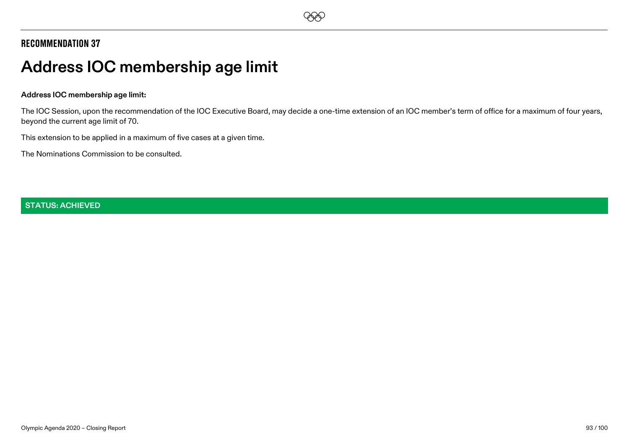# **Address IOC membership age limit**

#### **Address IOC membership age limit:**

The IOC Session, upon the recommendation of the IOC Executive Board, may decide a one-time extension of an IOC member's term of office for a maximum of four years, beyond the current age limit of 70.

This extension to be applied in a maximum of five cases at a given time.

The Nominations Commission to be consulted.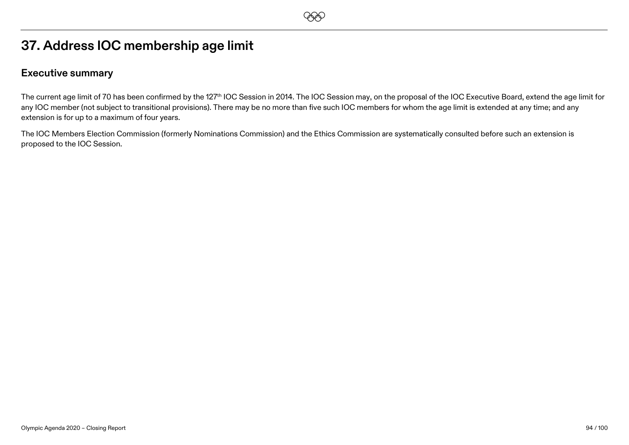## **EEO**

## **37. Address IOC membership age limit**

### **Executive summary**

The current age limit of 70 has been confirmed by the 127<sup>th</sup> IOC Session in 2014. The IOC Session may, on the proposal of the IOC Executive Board, extend the age limit for any IOC member (not subject to transitional provisions). There may be no more than five such IOC members for whom the age limit is extended at any time; and any extension is for up to a maximum of four years.

The IOC Members Election Commission (formerly Nominations Commission) and the Ethics Commission are systematically consulted before such an extension is proposed to the IOC Session.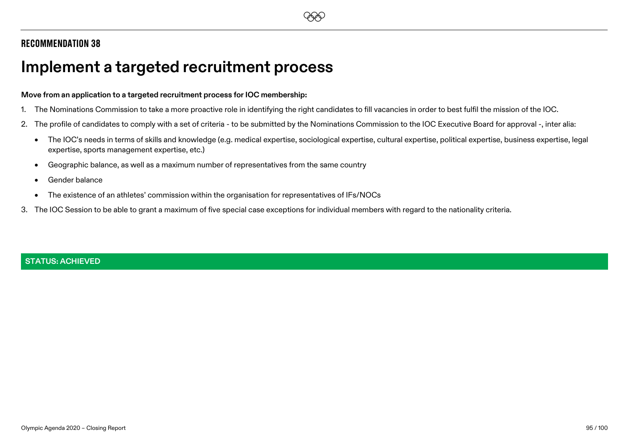# **Implement a targeted recruitment process**

#### **Move from an application to a targeted recruitment process for IOC membership:**

- 1. The Nominations Commission to take a more proactive role in identifying the right candidates to fill vacancies in order to best fulfil the mission of the IOC.
- 2. The profile of candidates to comply with a set of criteria to be submitted by the Nominations Commission to the IOC Executive Board for approval -, inter alia:
	- The IOC's needs in terms of skills and knowledge (e.g. medical expertise, sociological expertise, cultural expertise, political expertise, business expertise, legal expertise, sports management expertise, etc.)
	- Geographic balance, as well as a maximum number of representatives from the same country
	- Gender balance
	- The existence of an athletes' commission within the organisation for representatives of IFs/NOCs
- 3. The IOC Session to be able to grant a maximum of five special case exceptions for individual members with regard to the nationality criteria.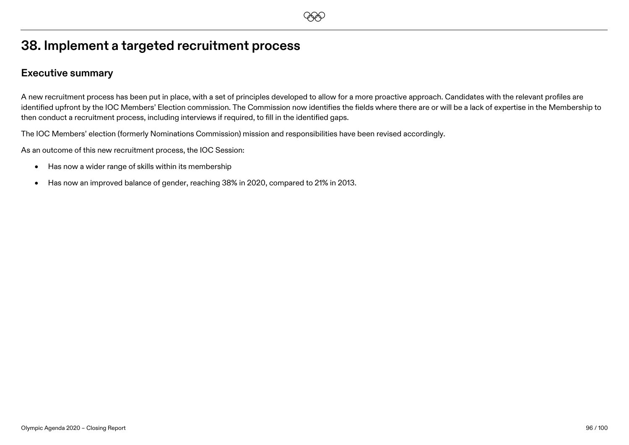## **38. Implement a targeted recruitment process**

### **Executive summary**

A new recruitment process has been put in place, with a set of principles developed to allow for a more proactive approach. Candidates with the relevant profiles are identified upfront by the IOC Members' Election commission. The Commission now identifies the fields where there are or will be a lack of expertise in the Membership to then conduct a recruitment process, including interviews if required, to fill in the identified gaps.

The IOC Members' election (formerly Nominations Commission) mission and responsibilities have been revised accordingly.

As an outcome of this new recruitment process, the IOC Session:

- Has now a wider range of skills within its membership
- Has now an improved balance of gender, reaching 38% in 2020, compared to 21% in 2013.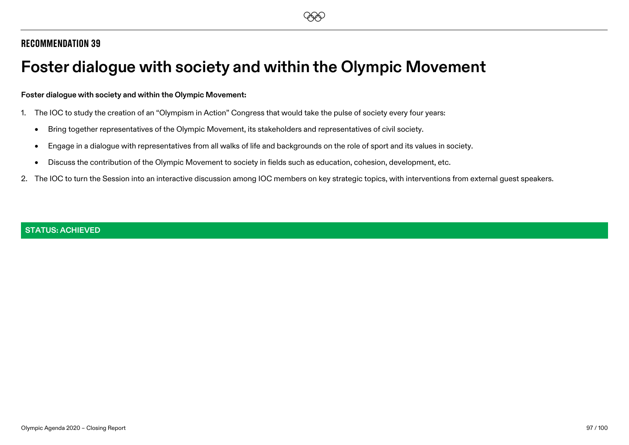# **Foster dialogue with society and within the Olympic Movement**

#### **Foster dialogue with society and within the Olympic Movement:**

- 1. The IOC to study the creation of an "Olympism in Action" Congress that would take the pulse of society every four years:
	- Bring together representatives of the Olympic Movement, its stakeholders and representatives of civil society.
	- Engage in a dialogue with representatives from all walks of life and backgrounds on the role of sport and its values in society.
	- Discuss the contribution of the Olympic Movement to society in fields such as education, cohesion, development, etc.
- 2. The IOC to turn the Session into an interactive discussion among IOC members on key strategic topics, with interventions from external guest speakers.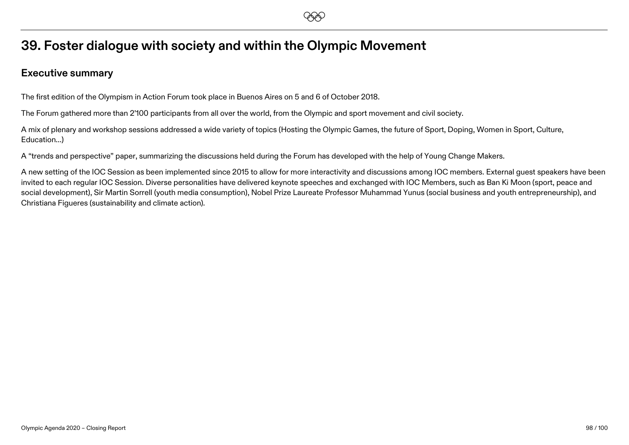**EEO** 

## **39. Foster dialogue with society and within the Olympic Movement**

### **Executive summary**

The first edition of the Olympism in Action Forum took place in Buenos Aires on 5 and 6 of October 2018.

The Forum gathered more than 2'100 participants from all over the world, from the Olympic and sport movement and civil society.

A mix of plenary and workshop sessions addressed a wide variety of topics (Hosting the Olympic Games, the future of Sport, Doping, Women in Sport, Culture, Education…)

A "trends and perspective" paper, summarizing the discussions held during the Forum has developed with the help of Young Change Makers.

A new setting of the IOC Session as been implemented since 2015 to allow for more interactivity and discussions among IOC members. External guest speakers have been invited to each regular IOC Session. Diverse personalities have delivered keynote speeches and exchanged with IOC Members, such as Ban Ki Moon (sport, peace and social development), Sir Martin Sorrell (youth media consumption), Nobel Prize Laureate Professor Muhammad Yunus (social business and youth entrepreneurship), and Christiana Figueres (sustainability and climate action).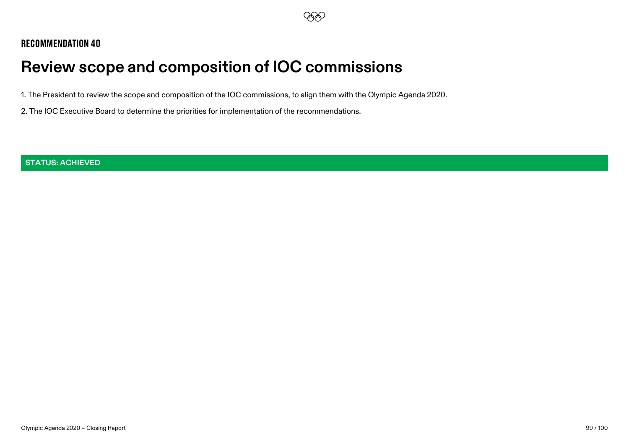# **Review scope and composition of IOC commissions**

1. The President to review the scope and composition of the IOC commissions, to align them with the Olympic Agenda 2020.

2. The IOC Executive Board to determine the priorities for implementation of the recommendations.